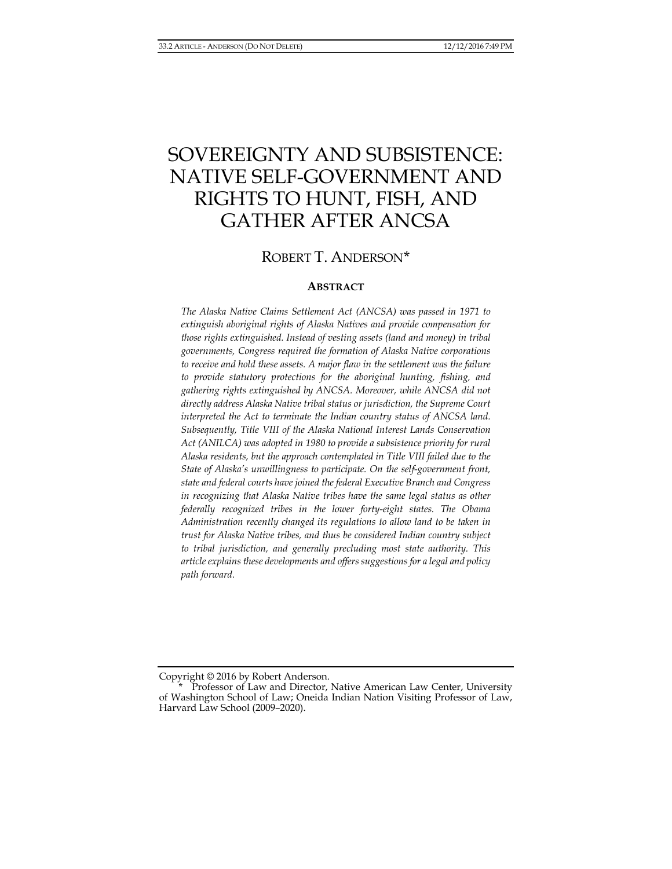# SOVEREIGNTY AND SUBSISTENCE: NATIVE SELF-GOVERNMENT AND RIGHTS TO HUNT, FISH, AND GATHER AFTER ANCSA

## ROBERT T. ANDERSON[\\*](#page-0-0)

#### **ABSTRACT**

*The Alaska Native Claims Settlement Act (ANCSA) was passed in 1971 to extinguish aboriginal rights of Alaska Natives and provide compensation for those rights extinguished. Instead of vesting assets (land and money) in tribal governments, Congress required the formation of Alaska Native corporations to receive and hold these assets. A major flaw in the settlement was the failure to provide statutory protections for the aboriginal hunting, fishing, and gathering rights extinguished by ANCSA. Moreover, while ANCSA did not directly address Alaska Native tribal status or jurisdiction, the Supreme Court*  interpreted the Act to terminate the Indian country status of ANCSA land. *Subsequently, Title VIII of the Alaska National Interest Lands Conservation Act (ANILCA) was adopted in 1980 to provide a subsistence priority for rural Alaska residents, but the approach contemplated in Title VIII failed due to the State of Alaska's unwillingness to participate. On the self-government front, state and federal courts have joined the federal Executive Branch and Congress in recognizing that Alaska Native tribes have the same legal status as other federally recognized tribes in the lower forty-eight states. The Obama Administration recently changed its regulations to allow land to be taken in trust for Alaska Native tribes, and thus be considered Indian country subject to tribal jurisdiction, and generally precluding most state authority. This article explains these developments and offers suggestions for a legal and policy path forward.*

<span id="page-0-0"></span>Copyright © 2016 by Robert Anderson.

Professor of Law and Director, Native American Law Center, University of Washington School of Law; Oneida Indian Nation Visiting Professor of Law, Harvard Law School (2009–2020).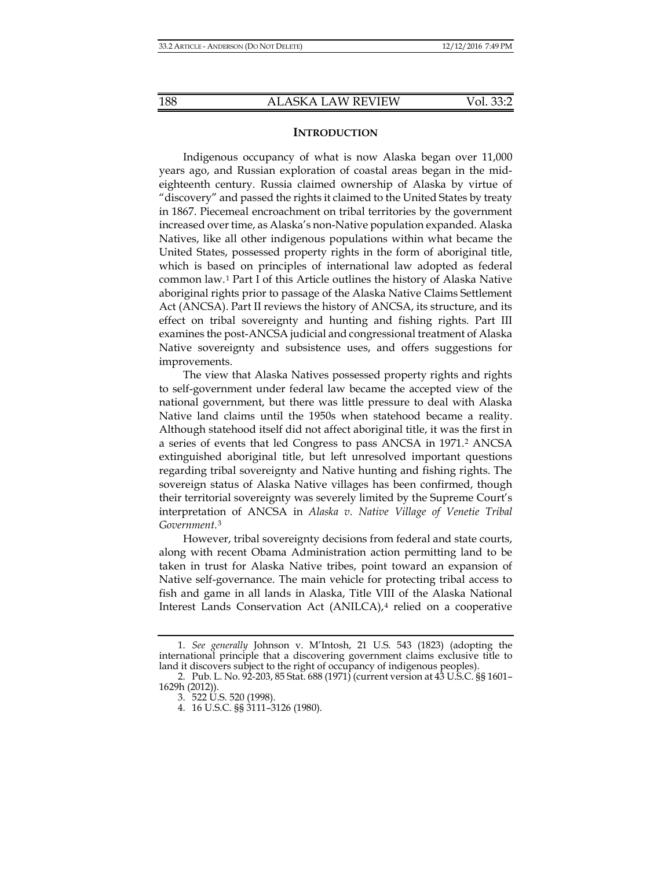#### **INTRODUCTION**

Indigenous occupancy of what is now Alaska began over 11,000 years ago, and Russian exploration of coastal areas began in the mideighteenth century. Russia claimed ownership of Alaska by virtue of "discovery" and passed the rights it claimed to the United States by treaty in 1867. Piecemeal encroachment on tribal territories by the government increased over time, as Alaska's non-Native population expanded. Alaska Natives, like all other indigenous populations within what became the United States, possessed property rights in the form of aboriginal title, which is based on principles of international law adopted as federal common law.[1](#page-1-0) Part I of this Article outlines the history of Alaska Native aboriginal rights prior to passage of the Alaska Native Claims Settlement Act (ANCSA). Part II reviews the history of ANCSA, its structure, and its effect on tribal sovereignty and hunting and fishing rights. Part III examines the post-ANCSA judicial and congressional treatment of Alaska Native sovereignty and subsistence uses, and offers suggestions for improvements.

The view that Alaska Natives possessed property rights and rights to self-government under federal law became the accepted view of the national government, but there was little pressure to deal with Alaska Native land claims until the 1950s when statehood became a reality. Although statehood itself did not affect aboriginal title, it was the first in a series of events that led Congress to pass ANCSA in 1971.[2](#page-1-1) ANCSA extinguished aboriginal title, but left unresolved important questions regarding tribal sovereignty and Native hunting and fishing rights. The sovereign status of Alaska Native villages has been confirmed, though their territorial sovereignty was severely limited by the Supreme Court's interpretation of ANCSA in *Alaska v. Native Village of Venetie Tribal Government*.[3](#page-1-2)

However, tribal sovereignty decisions from federal and state courts, along with recent Obama Administration action permitting land to be taken in trust for Alaska Native tribes, point toward an expansion of Native self-governance. The main vehicle for protecting tribal access to fish and game in all lands in Alaska, Title VIII of the Alaska National Interest Lands Conservation Act (ANILCA),[4](#page-2-0) relied on a cooperative

<span id="page-1-0"></span><sup>1.</sup> *See generally* Johnson v. M'Intosh, 21 U.S. 543 (1823) (adopting the international principle that a discovering government claims exclusive title to land it discovers subject to the right of occupancy of indigenous peoples).

<span id="page-1-2"></span><span id="page-1-1"></span><sup>2.</sup> Pub. L. No. 92-203, 85 Stat. 688 (1971) (current version at 43 U.S.C. §§ 1601– 1629h (2012)).

<sup>3.</sup> 522 U.S. 520 (1998).

<sup>4.</sup> 16 U.S.C. §§ 3111–3126 (1980).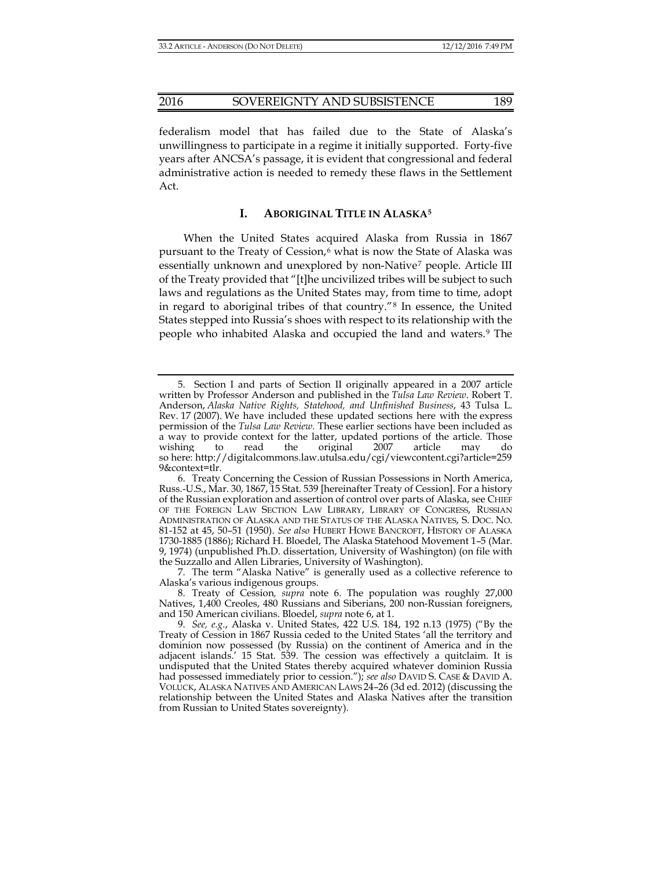federalism model that has failed due to the State of Alaska's unwillingness to participate in a regime it initially supported. Forty-five years after ANCSA's passage, it is evident that congressional and federal administrative action is needed to remedy these flaws in the Settlement Act.

## <span id="page-2-7"></span><span id="page-2-1"></span>**I. ABORIGINAL TITLE IN ALASKA[5](#page-2-2)**

When the United States acquired Alaska from Russia in 1867 pursuant to the Treaty of Cession,<sup>[6](#page-2-3)</sup> what is now the State of Alaska was essentially unknown and unexplored by non-Native<sup>[7](#page-2-4)</sup> people. Article III of the Treaty provided that "[t]he uncivilized tribes will be subject to such laws and regulations as the United States may, from time to time, adopt in regard to aboriginal tribes of that country."[8](#page-2-5) In essence, the United States stepped into Russia's shoes with respect to its relationship with the people who inhabited Alaska and occupied the land and waters.[9](#page-2-6) The

<span id="page-2-2"></span><span id="page-2-0"></span><sup>5.</sup> Section I and parts of Section II originally appeared in a 2007 article written by Professor Anderson and published in the *Tulsa Law Review*. Robert T. Anderson, *Alaska Native Rights, Statehood, and Unfinished Business*, 43 Tulsa L. Rev. 17 (2007). We have included these updated sections here with the express permission of the *Tulsa Law Review*. These earlier sections have been included as a way to provide context for the latter, updated portions of the article. Those wishing to read the original 2007 article may do so here: http://digitalcommons.law.utulsa.edu/cgi/viewcontent.cgi?article=259 9&context=tlr.

<span id="page-2-3"></span><sup>6.</sup> Treaty Concerning the Cession of Russian Possessions in North America, Russ.-U.S., Mar. 30, 1867, 15 Stat. 539 [hereinafter Treaty of Cession]. For a history of the Russian exploration and assertion of control over parts of Alaska, see CHIEF OF THE FOREIGN LAW SECTION LAW LIBRARY, LIBRARY OF CONGRESS, RUSSIAN ADMINISTRATION OF ALASKA AND THE STATUS OF THE ALASKA NATIVES, S. DOC. NO. 81-152 at 45, 50–51 (1950). *See also* HUBERT HOWE BANCROFT, HISTORY OF ALASKA 1730-1885 (1886); Richard H. Bloedel, The Alaska Statehood Movement 1–5 (Mar. 9, 1974) (unpublished Ph.D. dissertation, University of Washington) (on file with the Suzzallo and Allen Libraries, University of Washington).

<sup>7.</sup> The term "Alaska Native" is generally used as a collective reference to Alaska's various indigenous groups.

<span id="page-2-4"></span><sup>8.</sup> Treaty of Cession*, supra* note [6.](#page-2-1) The population was roughly 27,000 Natives, 1,400 Creoles, 480 Russians and Siberians, 200 non-Russian foreigners, and 150 American civilians. Bloedel, *supra* note [6,](#page-2-1) at 1.

<span id="page-2-6"></span><span id="page-2-5"></span><sup>9.</sup> *See, e.g.*, Alaska v. United States, 422 U.S. 184, 192 n.13 (1975) ("By the Treaty of Cession in 1867 Russia ceded to the United States 'all the territory and dominion now possessed (by Russia) on the continent of America and in the adjacent islands.' 15 Stat. 539. The cession was effectively a quitclaim. It is undisputed that the United States thereby acquired whatever dominion Russia had possessed immediately prior to cession."); *see also* DAVID S. CASE & DAVID A. VOLUCK, ALASKA NATIVES AND AMERICAN LAWS 24–26 (3d ed. 2012) (discussing the relationship between the United States and Alaska Natives after the transition from Russian to United States sovereignty).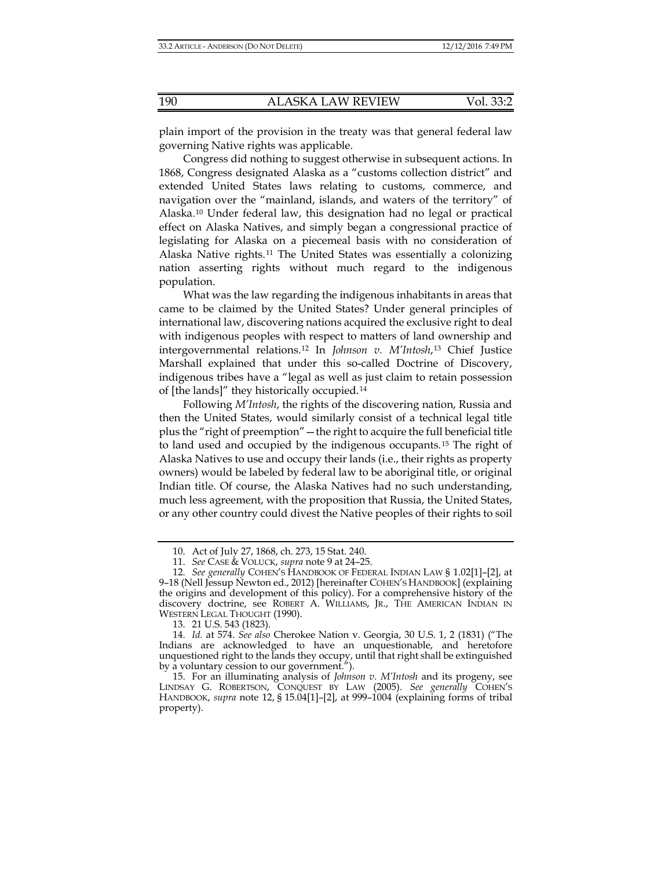plain import of the provision in the treaty was that general federal law governing Native rights was applicable.

Congress did nothing to suggest otherwise in subsequent actions. In 1868, Congress designated Alaska as a "customs collection district" and extended United States laws relating to customs, commerce, and navigation over the "mainland, islands, and waters of the territory" of Alaska.[10](#page-3-1) Under federal law, this designation had no legal or practical effect on Alaska Natives, and simply began a congressional practice of legislating for Alaska on a piecemeal basis with no consideration of Alaska Native rights.[11](#page-3-2) The United States was essentially a colonizing nation asserting rights without much regard to the indigenous population.

<span id="page-3-0"></span>What was the law regarding the indigenous inhabitants in areas that came to be claimed by the United States? Under general principles of international law, discovering nations acquired the exclusive right to deal with indigenous peoples with respect to matters of land ownership and intergovernmental relations.[12](#page-3-3) In *Johnson v. M'Intosh*,[13](#page-3-4) Chief Justice Marshall explained that under this so-called Doctrine of Discovery, indigenous tribes have a "legal as well as just claim to retain possession of [the lands]" they historically occupied.[14](#page-3-5)

Following *M'Intosh*, the rights of the discovering nation, Russia and then the United States, would similarly consist of a technical legal title plus the "right of preemption"—the right to acquire the full beneficial title to land used and occupied by the indigenous occupants.[15](#page-3-6) The right of Alaska Natives to use and occupy their lands (i.e., their rights as property owners) would be labeled by federal law to be aboriginal title, or original Indian title. Of course, the Alaska Natives had no such understanding, much less agreement, with the proposition that Russia, the United States, or any other country could divest the Native peoples of their rights to soil

<sup>10.</sup> Act of July 27, 1868, ch. 273, 15 Stat. 240.

<sup>11.</sup> *See* CASE & VOLUCK, *supra* note [9](#page-2-7) at 24–25.

<span id="page-3-3"></span><span id="page-3-2"></span><span id="page-3-1"></span><sup>12.</sup> *See generally* COHEN'S HANDBOOK OF FEDERAL INDIAN LAW § 1.02[1]–[2], at 9–18 (Nell Jessup Newton ed., 2012) [hereinafter COHEN'S HANDBOOK] (explaining the origins and development of this policy). For a comprehensive history of the discovery doctrine, see ROBERT A. WILLIAMS, JR., THE AMERICAN INDIAN IN WESTERN LEGAL THOUGHT (1990).

<sup>13.</sup> 21 U.S. 543 (1823).

<span id="page-3-5"></span><span id="page-3-4"></span><sup>14.</sup> *Id.* at 574. *See also* Cherokee Nation v. Georgia, 30 U.S. 1, 2 (1831) ("The Indians are acknowledged to have an unquestionable, and heretofore unquestioned right to the lands they occupy, until that right shall be extinguished by a voluntary cession to our government.").

<span id="page-3-6"></span><sup>15.</sup> For an illuminating analysis of *Johnson v. M'Intosh* and its progeny, see LINDSAY G. ROBERTSON, CONQUEST BY LAW (2005). *See generally* COHEN'S HANDBOOK, *supra* note [12,](#page-3-0) § 15.04[1]–[2], at 999–1004 (explaining forms of tribal property).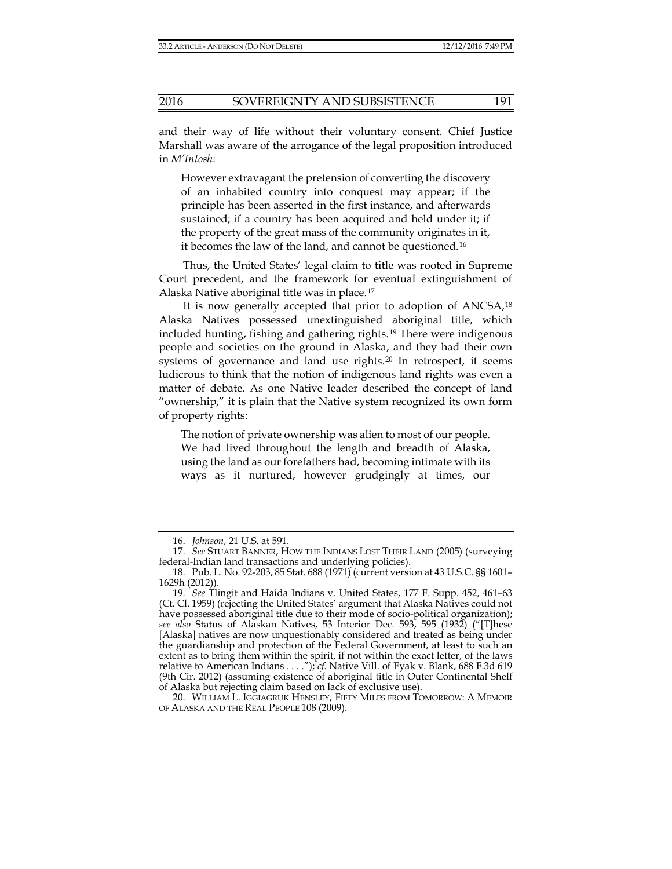and their way of life without their voluntary consent. Chief Justice Marshall was aware of the arrogance of the legal proposition introduced in *M'Intosh*:

However extravagant the pretension of converting the discovery of an inhabited country into conquest may appear; if the principle has been asserted in the first instance, and afterwards sustained; if a country has been acquired and held under it; if the property of the great mass of the community originates in it, it becomes the law of the land, and cannot be questioned.[16](#page-4-0)

Thus, the United States' legal claim to title was rooted in Supreme Court precedent, and the framework for eventual extinguishment of Alaska Native aboriginal title was in place.[17](#page-4-1)

<span id="page-4-5"></span>It is now generally accepted that prior to adoption of ANCSA,<sup>[18](#page-4-2)</sup> Alaska Natives possessed unextinguished aboriginal title, which included hunting, fishing and gathering rights.[19](#page-4-3) There were indigenous people and societies on the ground in Alaska, and they had their own systems of governance and land use rights.<sup>[20](#page-4-4)</sup> In retrospect, it seems ludicrous to think that the notion of indigenous land rights was even a matter of debate. As one Native leader described the concept of land "ownership," it is plain that the Native system recognized its own form of property rights:

The notion of private ownership was alien to most of our people. We had lived throughout the length and breadth of Alaska, using the land as our forefathers had, becoming intimate with its ways as it nurtured, however grudgingly at times, our

<sup>16.</sup> *Johnson*, 21 U.S. at 591.

<span id="page-4-1"></span><span id="page-4-0"></span><sup>17.</sup> *See* STUART BANNER, HOW THE INDIANS LOST THEIR LAND (2005) (surveying federal-Indian land transactions and underlying policies).

<span id="page-4-2"></span><sup>18.</sup> Pub. L. No. 92-203, 85 Stat. 688 (1971) (current version at 43 U.S.C. §§ 1601– 1629h (2012)).

<span id="page-4-3"></span><sup>19.</sup> *See* Tlingit and Haida Indians v. United States, 177 F. Supp. 452, 461–63 (Ct. Cl. 1959) (rejecting the United States' argument that Alaska Natives could not have possessed aboriginal title due to their mode of socio-political organization); *see also* Status of Alaskan Natives, 53 Interior Dec. 593, 595 (1932) ("[T]hese [Alaska] natives are now unquestionably considered and treated as being under the guardianship and protection of the Federal Government, at least to such an extent as to bring them within the spirit, if not within the exact letter, of the laws relative to American Indians . . . ."); *cf.* Native Vill. of Eyak v. Blank, 688 F.3d 619 (9th Cir. 2012) (assuming existence of aboriginal title in Outer Continental Shelf of Alaska but rejecting claim based on lack of exclusive use).

<span id="page-4-4"></span><sup>20.</sup> WILLIAM L. IGGIAGRUK HENSLEY, FIFTY MILES FROM TOMORROW: A MEMOIR OF ALASKA AND THE REAL PEOPLE 108 (2009).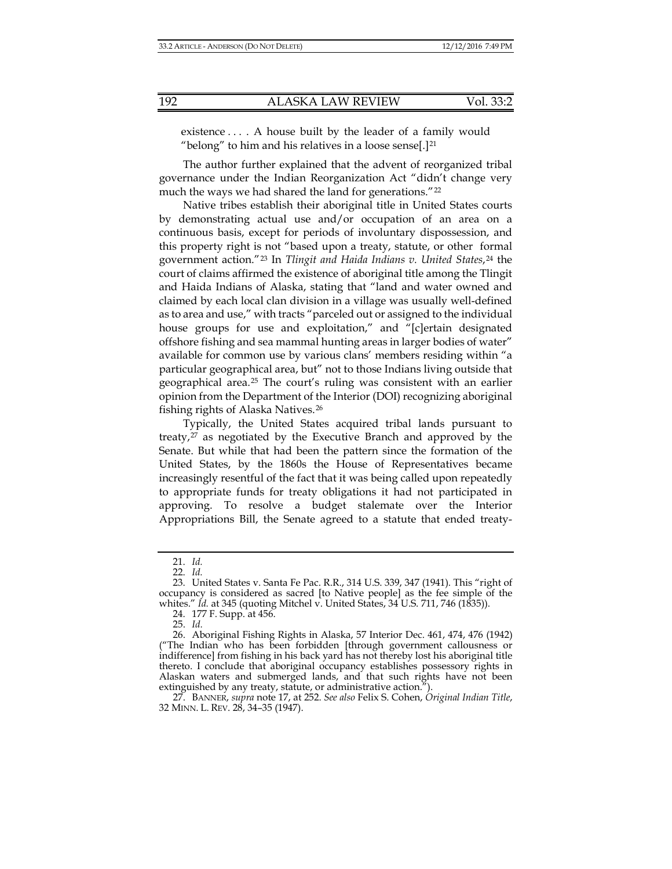<span id="page-5-7"></span>existence . . . . A house built by the leader of a family would "belong" to him and his relatives in a loose sense.<sup>[1[21](#page-5-0)]</sup>

The author further explained that the advent of reorganized tribal governance under the Indian Reorganization Act "didn't change very much the ways we had shared the land for generations."<sup>[22](#page-5-1)</sup>

Native tribes establish their aboriginal title in United States courts by demonstrating actual use and/or occupation of an area on a continuous basis, except for periods of involuntary dispossession, and this property right is not "based upon a treaty, statute, or other formal government action."[23](#page-5-2) In *Tlingit and Haida Indians v. United States*,[24](#page-5-3) the court of claims affirmed the existence of aboriginal title among the Tlingit and Haida Indians of Alaska, stating that "land and water owned and claimed by each local clan division in a village was usually well-defined as to area and use," with tracts "parceled out or assigned to the individual house groups for use and exploitation," and "[c]ertain designated offshore fishing and sea mammal hunting areas in larger bodies of water" available for common use by various clans' members residing within "a particular geographical area, but" not to those Indians living outside that geographical area.[25](#page-5-4) The court's ruling was consistent with an earlier opinion from the Department of the Interior (DOI) recognizing aboriginal fishing rights of Alaska Natives.[26](#page-5-5)

Typically, the United States acquired tribal lands pursuant to treaty,[27](#page-5-6) as negotiated by the Executive Branch and approved by the Senate. But while that had been the pattern since the formation of the United States, by the 1860s the House of Representatives became increasingly resentful of the fact that it was being called upon repeatedly to appropriate funds for treaty obligations it had not participated in approving. To resolve a budget stalemate over the Interior Appropriations Bill, the Senate agreed to a statute that ended treaty-

25. *Id.*

<sup>21.</sup> *Id.*

<sup>22.</sup> *Id.*

<span id="page-5-2"></span><span id="page-5-1"></span><span id="page-5-0"></span><sup>23.</sup> United States v. Santa Fe Pac. R.R., 314 U.S. 339, 347 (1941). This "right of occupancy is considered as sacred [to Native people] as the fee simple of the whites." *Id.* at 345 (quoting Mitchel v. United States, 34 U.S. 711, 746 (1835)).

<sup>24.</sup> 177 F. Supp. at 456.

<span id="page-5-5"></span><span id="page-5-4"></span><span id="page-5-3"></span><sup>26.</sup> Aboriginal Fishing Rights in Alaska, 57 Interior Dec. 461, 474, 476 (1942) ("The Indian who has been forbidden [through government callousness or indifference] from fishing in his back yard has not thereby lost his aboriginal title thereto. I conclude that aboriginal occupancy establishes possessory rights in Alaskan waters and submerged lands, and that such rights have not been extinguished by any treaty, statute, or administrative action.").

<span id="page-5-6"></span><sup>27.</sup> BANNER, *supra* not[e 17,](#page-4-5) at 252. *See also* Felix S. Cohen, *Original Indian Title*, 32 MINN. L. REV. 28, 34–35 (1947).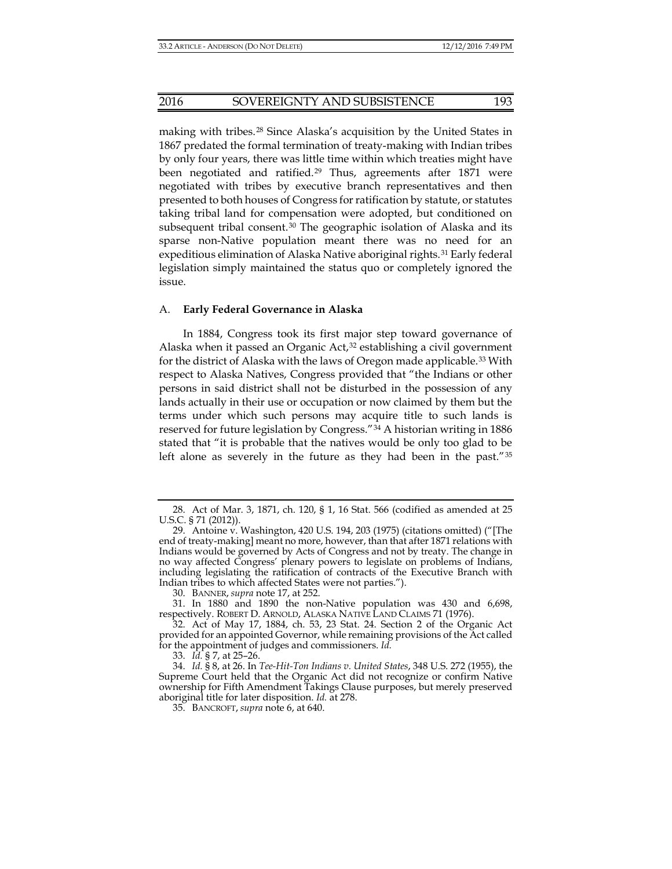<span id="page-6-8"></span><span id="page-6-7"></span>making with tribes.[28](#page-6-0) Since Alaska's acquisition by the United States in 1867 predated the formal termination of treaty-making with Indian tribes by only four years, there was little time within which treaties might have been negotiated and ratified.<sup>[29](#page-6-1)</sup> Thus, agreements after 1871 were negotiated with tribes by executive branch representatives and then presented to both houses of Congress for ratification by statute, or statutes taking tribal land for compensation were adopted, but conditioned on subsequent tribal consent.<sup>[30](#page-6-2)</sup> The geographic isolation of Alaska and its sparse non-Native population meant there was no need for an expeditious elimination of Alaska Native aboriginal rights.[31](#page-6-3) Early federal legislation simply maintained the status quo or completely ignored the issue.

#### <span id="page-6-9"></span>A. **Early Federal Governance in Alaska**

In 1884, Congress took its first major step toward governance of Alaska when it passed an Organic  $Act<sub>2</sub><sup>32</sup>$  $Act<sub>2</sub><sup>32</sup>$  $Act<sub>2</sub><sup>32</sup>$  establishing a civil government for the district of Alaska with the laws of Oregon made applicable.<sup>[33](#page-6-5)</sup> With respect to Alaska Natives, Congress provided that "the Indians or other persons in said district shall not be disturbed in the possession of any lands actually in their use or occupation or now claimed by them but the terms under which such persons may acquire title to such lands is reserved for future legislation by Congress."[34](#page-6-6) A historian writing in 1886 stated that "it is probable that the natives would be only too glad to be left alone as severely in the future as they had been in the past."[35](#page-7-0)

33. *Id.* § 7, at 25–26.

<sup>28.</sup> Act of Mar. 3, 1871, ch. 120, § 1, 16 Stat. 566 (codified as amended at 25 U.S.C. § 71 (2012)).

<span id="page-6-1"></span><span id="page-6-0"></span><sup>29.</sup> Antoine v. Washington, 420 U.S. 194, 203 (1975) (citations omitted) ("[The end of treaty-making] meant no more, however, than that after 1871 relations with Indians would be governed by Acts of Congress and not by treaty. The change in no way affected Congress' plenary powers to legislate on problems of Indians, including legislating the ratification of contracts of the Executive Branch with Indian tribes to which affected States were not parties.").

<sup>30.</sup> BANNER, *supra* note [17,](#page-4-5) at 252.

<span id="page-6-3"></span><span id="page-6-2"></span><sup>31.</sup> In 1880 and 1890 the non-Native population was 430 and 6,698, respectively. ROBERT D. ARNOLD, ALASKA NATIVE LAND CLAIMS 71 (1976).

<span id="page-6-4"></span><sup>32.</sup> Act of May 17, 1884, ch. 53, 23 Stat. 24. Section 2 of the Organic Act provided for an appointed Governor, while remaining provisions of the Act called for the appointment of judges and commissioners. *Id.*

<span id="page-6-6"></span><span id="page-6-5"></span><sup>34.</sup> *Id.* § 8, at 26. In *Tee-Hit-Ton Indians v. United States*, 348 U.S. 272 (1955), the Supreme Court held that the Organic Act did not recognize or confirm Native ownership for Fifth Amendment Takings Clause purposes, but merely preserved aboriginal title for later disposition. *Id.* at 278.

<sup>35.</sup> BANCROFT, *supra* not[e 6,](#page-2-1) at 640.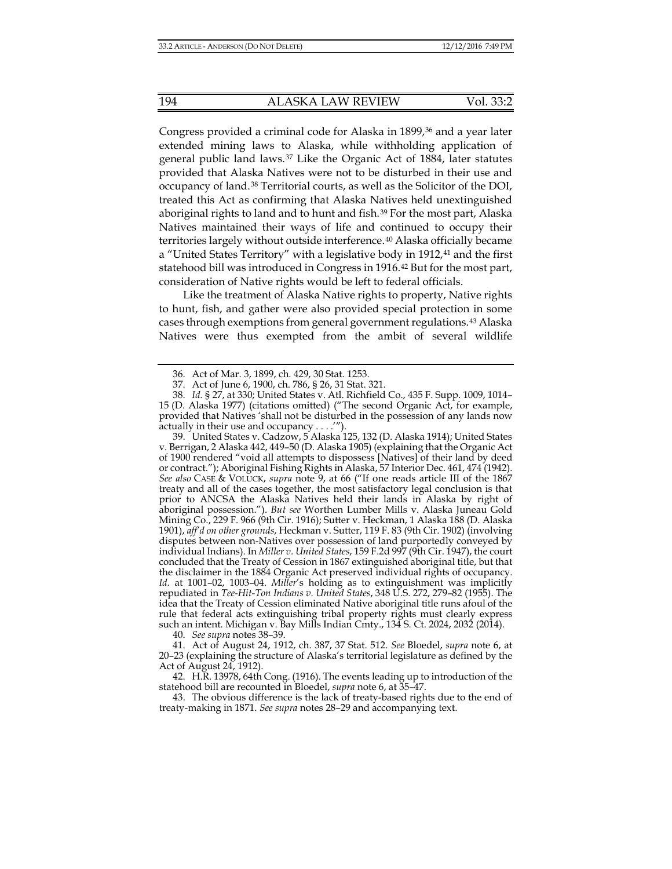<span id="page-7-2"></span><span id="page-7-1"></span>Congress provided a criminal code for Alaska in 1899,<sup>[36](#page-7-3)</sup> and a year later extended mining laws to Alaska, while withholding application of general public land laws.[37](#page-7-4) Like the Organic Act of 1884, later statutes provided that Alaska Natives were not to be disturbed in their use and occupancy of land.[38](#page-7-5) Territorial courts, as well as the Solicitor of the DOI, treated this Act as confirming that Alaska Natives held unextinguished aboriginal rights to land and to hunt and fish.<sup>[39](#page-7-6)</sup> For the most part, Alaska Natives maintained their ways of life and continued to occupy their territories largely without outside interference.[40](#page-7-7) Alaska officially became a "United States Territory" with a legislative body in 1912,<sup>[41](#page-7-8)</sup> and the first statehood bill was introduced in Congress in 1916[.42](#page-7-9) But for the most part, consideration of Native rights would be left to federal officials.

Like the treatment of Alaska Native rights to property, Native rights to hunt, fish, and gather were also provided special protection in some cases through exemptions from general government regulations.[43](#page-8-0) Alaska Natives were thus exempted from the ambit of several wildlife

<span id="page-7-6"></span><span id="page-7-5"></span>39. United States v. Cadzow, 5 Alaska 125, 132 (D. Alaska 1914); United States v. Berrigan, 2 Alaska 442, 449–50 (D. Alaska 1905) (explaining that the Organic Act of 1900 rendered "void all attempts to dispossess [Natives] of their land by deed or contract."); Aboriginal Fishing Rights in Alaska, 57 Interior Dec. 461, 474 (1942). *See also* CASE & VOLUCK, *supra* note [9,](#page-2-7) at 66 ("If one reads article III of the 1867 treaty and all of the cases together, the most satisfactory legal conclusion is that prior to ANCSA the Alaska Natives held their lands in Alaska by right of aboriginal possession."). *But see* Worthen Lumber Mills v. Alaska Juneau Gold Mining Co., 229 F. 966 (9th Cir. 1916); Sutter v. Heckman, 1 Alaska 188 (D. Alaska 1901), *aff'd on other grounds*, Heckman v. Sutter, 119 F. 83 (9th Cir. 1902) (involving disputes between non-Natives over possession of land purportedly conveyed by individual Indians). In *Miller v. United States*, 159 F.2d 997 (9th Cir. 1947), the court concluded that the Treaty of Cession in 1867 extinguished aboriginal title, but that the disclaimer in the 1884 Organic Act preserved individual rights of occupancy. *Id.* at 1001–02, 1003–04. *Miller*'s holding as to extinguishment was implicitly repudiated in *Tee-Hit-Ton Indians v. United States*, 348 U.S. 272, 279–82 (1955). The idea that the Treaty of Cession eliminated Native aboriginal title runs afoul of the rule that federal acts extinguishing tribal property rights must clearly express such an intent. Michigan v. Bay Mills Indian Cmty., 134 S. Ct. 2024, 2032 (2014).

40. *See supra* note[s 38–](#page-7-1)[39.](#page-7-2)

<span id="page-7-7"></span>41. Act of August 24, 1912, ch. 387, 37 Stat. 512. *See* Bloedel, *supra* note [6,](#page-2-1) at 20–23 (explaining the structure of Alaska's territorial legislature as defined by the Act of August 24, 1912).

<span id="page-7-8"></span>42. H.R. 13978, 64th Cong. (1916). The events leading up to introduction of the statehood bill are recounted in Bloedel, *supra* not[e 6,](#page-2-1) at 35–47.

<span id="page-7-9"></span>43. The obvious difference is the lack of treaty-based rights due to the end of treaty-making in 1871. *See supra* notes [28](#page-6-7)[–29](#page-6-8) and accompanying text.

<sup>36.</sup> Act of Mar. 3, 1899, ch. 429, 30 Stat. 1253.

<sup>37.</sup> Act of June 6, 1900, ch. 786, § 26, 31 Stat. 321.

<span id="page-7-4"></span><span id="page-7-3"></span><span id="page-7-0"></span><sup>38.</sup> *Id.* § 27, at 330; United States v. Atl. Richfield Co., 435 F. Supp. 1009, 1014– 15 (D. Alaska 1977) (citations omitted) ("The second Organic Act, for example, provided that Natives 'shall not be disturbed in the possession of any lands now actually in their use and occupancy . . . .'").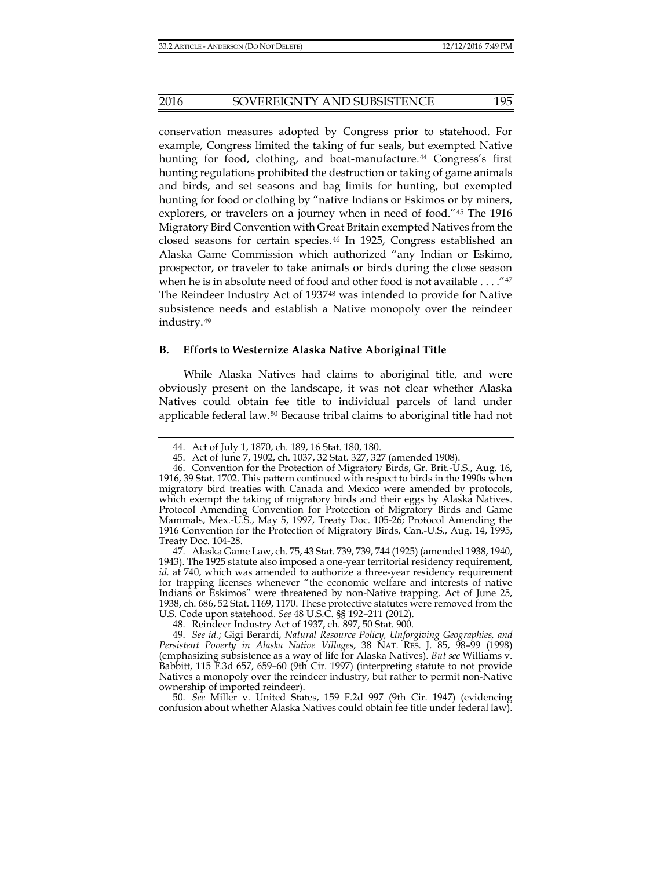conservation measures adopted by Congress prior to statehood. For example, Congress limited the taking of fur seals, but exempted Native hunting for food, clothing, and boat-manufacture.<sup>[44](#page-8-1)</sup> Congress's first hunting regulations prohibited the destruction or taking of game animals and birds, and set seasons and bag limits for hunting, but exempted hunting for food or clothing by "native Indians or Eskimos or by miners, explorers, or travelers on a journey when in need of food."[45](#page-8-2) The 1916 Migratory Bird Convention with Great Britain exempted Natives from the closed seasons for certain species.[46](#page-8-3) In 1925, Congress established an Alaska Game Commission which authorized "any Indian or Eskimo, prospector, or traveler to take animals or birds during the close season when he is in absolute need of food and other food is not available . . . . ["47](#page-8-4) The Reindeer Industry Act of 1937<sup>[48](#page-8-5)</sup> was intended to provide for Native subsistence needs and establish a Native monopoly over the reindeer industry.[49](#page-8-6)

#### **B. Efforts to Westernize Alaska Native Aboriginal Title**

While Alaska Natives had claims to aboriginal title, and were obviously present on the landscape, it was not clear whether Alaska Natives could obtain fee title to individual parcels of land under applicable federal law.[50](#page-9-0) Because tribal claims to aboriginal title had not

<sup>44.</sup> Act of July 1, 1870, ch. 189, 16 Stat. 180, 180.

<sup>45.</sup> Act of June 7, 1902, ch. 1037, 32 Stat. 327, 327 (amended 1908).

<span id="page-8-3"></span><span id="page-8-2"></span><span id="page-8-1"></span><span id="page-8-0"></span><sup>46.</sup> Convention for the Protection of Migratory Birds, Gr. Brit.-U.S., Aug. 16, 1916, 39 Stat. 1702. This pattern continued with respect to birds in the 1990s when migratory bird treaties with Canada and Mexico were amended by protocols, which exempt the taking of migratory birds and their eggs by Alaska Natives. Protocol Amending Convention for Protection of Migratory Birds and Game Mammals, Mex.-U.S., May 5, 1997, Treaty Doc. 105-26; Protocol Amending the 1916 Convention for the Protection of Migratory Birds, Can.-U.S., Aug. 14, 1995, Treaty Doc. 104-28.

<span id="page-8-4"></span><sup>47.</sup> Alaska Game Law, ch. 75, 43 Stat. 739, 739, 744 (1925) (amended 1938, 1940, 1943). The 1925 statute also imposed a one-year territorial residency requirement, id. at 740, which was amended to authorize a three-year residency requirement for trapping licenses whenever "the economic welfare and interests of native Indians or Eskimos" were threatened by non-Native trapping. Act of June 25, 1938, ch. 686, 52 Stat. 1169, 1170. These protective statutes were removed from the U.S. Code upon statehood. *See* 48 U.S.C. §§ 192–211 (2012).

<sup>48.</sup> Reindeer Industry Act of 1937, ch. 897, 50 Stat. 900.

<span id="page-8-6"></span><span id="page-8-5"></span><sup>49.</sup> *See id.*; Gigi Berardi, *Natural Resource Policy, Unforgiving Geographies, and Persistent Poverty in Alaska Native Villages*, 38 NAT. RES. J. 85, 98–99 (1998) (emphasizing subsistence as a way of life for Alaska Natives). *But see* Williams v. Babbitt, 115 F.3d 657, 659–60 (9th Cir. 1997) (interpreting statute to not provide Natives a monopoly over the reindeer industry, but rather to permit non-Native ownership of imported reindeer).

<sup>50.</sup> *See* Miller v. United States, 159 F.2d 997 (9th Cir. 1947) (evidencing confusion about whether Alaska Natives could obtain fee title under federal law).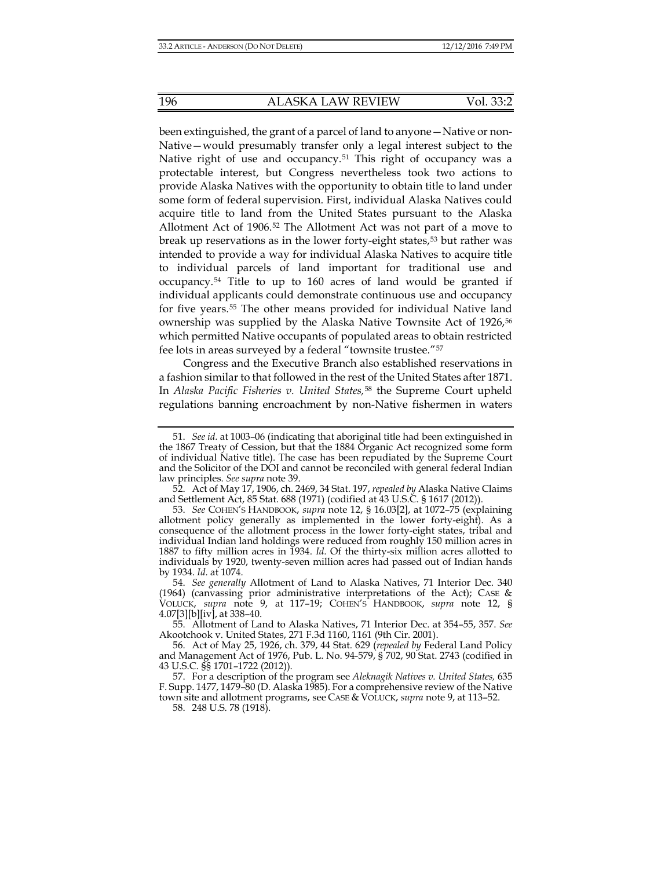been extinguished, the grant of a parcel of land to anyone—Native or non-Native—would presumably transfer only a legal interest subject to the Native right of use and occupancy.<sup>[51](#page-9-1)</sup> This right of occupancy was a protectable interest, but Congress nevertheless took two actions to provide Alaska Natives with the opportunity to obtain title to land under some form of federal supervision. First, individual Alaska Natives could acquire title to land from the United States pursuant to the Alaska Allotment Act of 1906[.52](#page-9-2) The Allotment Act was not part of a move to break up reservations as in the lower forty-eight states,[53](#page-9-3) but rather was intended to provide a way for individual Alaska Natives to acquire title to individual parcels of land important for traditional use and occupancy.[54](#page-9-4) Title to up to 160 acres of land would be granted if individual applicants could demonstrate continuous use and occupancy for five years.[55](#page-9-5) The other means provided for individual Native land ownership was supplied by the Alaska Native Townsite Act of 1926,<sup>56</sup> which permitted Native occupants of populated areas to obtain restricted fee lots in areas surveyed by a federal "townsite trustee."[57](#page-10-0)

Congress and the Executive Branch also established reservations in a fashion similar to that followed in the rest of the United States after 1871. In *Alaska Pacific Fisheries v. United States,*[58](#page-10-1) the Supreme Court upheld regulations banning encroachment by non-Native fishermen in waters

58. 248 U.S. 78 (1918).

<span id="page-9-0"></span><sup>51.</sup> *See id.* at 1003–06 (indicating that aboriginal title had been extinguished in the 1867 Treaty of Cession, but that the 1884 Organic Act recognized some form of individual Native title). The case has been repudiated by the Supreme Court and the Solicitor of the DOI and cannot be reconciled with general federal Indian law principles. *See supra* not[e 39.](#page-7-2)

<span id="page-9-1"></span><sup>52.</sup> Act of May 17, 1906, ch. 2469, 34 Stat. 197, *repealed by* Alaska Native Claims and Settlement Act, 85 Stat. 688 (1971) (codified at 43 U.S.C. § 1617 (2012)).

<span id="page-9-2"></span><sup>53.</sup> *See* COHEN'S HANDBOOK, *supra* note [12,](#page-3-0) § 16.03[2], at 1072–75 (explaining allotment policy generally as implemented in the lower forty-eight). As a consequence of the allotment process in the lower forty-eight states, tribal and individual Indian land holdings were reduced from roughly 150 million acres in 1887 to fifty million acres in 1934. *Id.* Of the thirty-six million acres allotted to individuals by 1920, twenty-seven million acres had passed out of Indian hands by 1934. *Id.* at 1074.

<span id="page-9-3"></span><sup>54.</sup> *See generally* Allotment of Land to Alaska Natives, 71 Interior Dec. 340 (1964) (canvassing prior administrative interpretations of the Act); CASE & VOLUCK, *supra* note 9, at 117–19; COHEN'S HANDBOOK, *supra* note [12,](#page-3-0) § 4.07[3][b][iv], at 338–40.

<span id="page-9-4"></span><sup>55.</sup> Allotment of Land to Alaska Natives, 71 Interior Dec. at 354–55, 357. *See* Akootchook v. United States, 271 F.3d 1160, 1161 (9th Cir. 2001).

<sup>56.</sup> Act of May 25, 1926, ch. 379, 44 Stat. 629 (*repealed by* Federal Land Policy and Management Act of 1976, Pub. L. No. 94-579, § 702, 90 Stat. 2743 (codified in 43 U.S.C. §§ 1701–1722 (2012)).

<span id="page-9-6"></span><span id="page-9-5"></span><sup>57.</sup> For a description of the program see *Aleknagik Natives v. United States,* 635 F. Supp. 1477, 1479–80 (D. Alaska 1985). For a comprehensive review of the Native town site and allotment programs, see CASE & VOLUCK, *supra* note [9,](#page-2-7) at 113–52.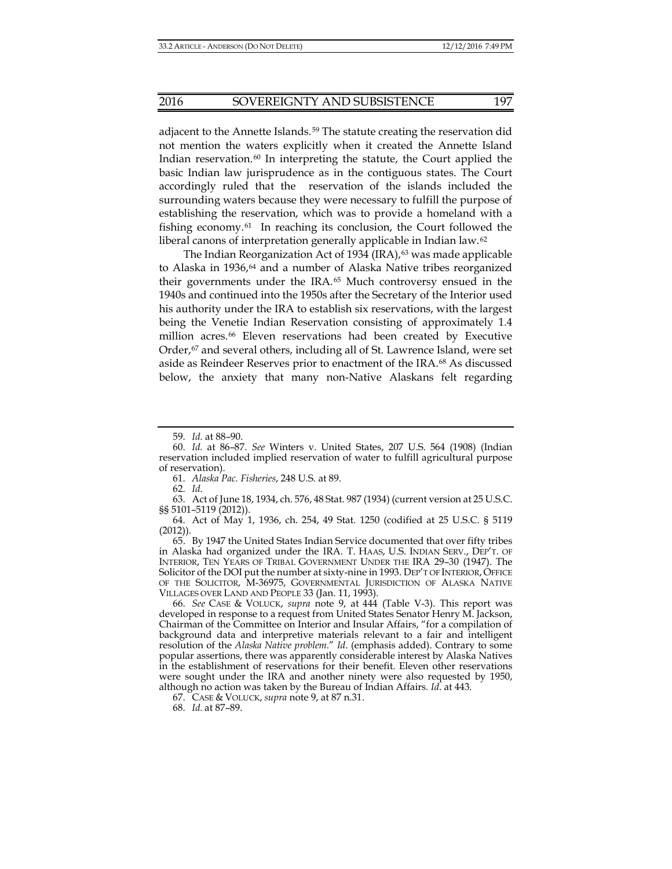adjacent to the Annette Islands.<sup>[59](#page-10-2)</sup> The statute creating the reservation did not mention the waters explicitly when it created the Annette Island Indian reservation. $60$  In interpreting the statute, the Court applied the basic Indian law jurisprudence as in the contiguous states. The Court accordingly ruled that the reservation of the islands included the surrounding waters because they were necessary to fulfill the purpose of establishing the reservation, which was to provide a homeland with a fishing economy. $61$  In reaching its conclusion, the Court followed the liberal canons of interpretation generally applicable in Indian law.[62](#page-10-5)

The Indian Reorganization Act of 1934 (IRA), $63$  was made applicable to Alaska in 1936,[64](#page-10-7) and a number of Alaska Native tribes reorganized their governments under the IRA.[65](#page-10-8) Much controversy ensued in the 1940s and continued into the 1950s after the Secretary of the Interior used his authority under the IRA to establish six reservations, with the largest being the Venetie Indian Reservation consisting of approximately 1.4 million acres.[66](#page-10-9) Eleven reservations had been created by Executive Order, $67$  and several others, including all of St. Lawrence Island, were set aside as Reindeer Reserves prior to enactment of the IRA.[68](#page-11-1) As discussed below, the anxiety that many non-Native Alaskans felt regarding

61. *Alaska Pac. Fisheries*, 248 U.S. at 89.

62. *Id*.

<span id="page-10-2"></span><span id="page-10-1"></span>63. Act of June 18, 1934, ch. 576, 48 Stat. 987 (1934) (current version at 25 U.S.C. §§ 5101–5119 (2012)).

<span id="page-10-3"></span>64. Act of May 1, 1936, ch. 254, 49 Stat. 1250 (codified at 25 U.S.C. § 5119 (2012)).

<span id="page-10-6"></span><span id="page-10-5"></span><span id="page-10-4"></span>65. By 1947 the United States Indian Service documented that over fifty tribes in Alaska had organized under the IRA. T. HAAS, U.S. INDIAN SERV., DEP'T. OF INTERIOR, TEN YEARS OF TRIBAL GOVERNMENT UNDER THE IRA 29–30 (1947). The Solicitor of the DOI put the number at sixty-nine in 1993. DEP'T OF INTERIOR, OFFICE OF THE SOLICITOR, M-36975, GOVERNMENTAL JURISDICTION OF ALASKA NATIVE VILLAGES OVER LAND AND PEOPLE 33 (Jan. 11, 1993).

<span id="page-10-8"></span><span id="page-10-7"></span>66. *See* CASE & VOLUCK, *supra* note [9,](#page-2-7) at 444 (Table V-3). This report was developed in response to a request from United States Senator Henry M. Jackson, Chairman of the Committee on Interior and Insular Affairs, "for a compilation of background data and interpretive materials relevant to a fair and intelligent resolution of the *Alaska Native problem*." *Id*. (emphasis added). Contrary to some popular assertions, there was apparently considerable interest by Alaska Natives in the establishment of reservations for their benefit. Eleven other reservations were sought under the IRA and another ninety were also requested by 1950, although no action was taken by the Bureau of Indian Affairs. *Id*. at 443.

<span id="page-10-9"></span>67. CASE & VOLUCK, *supra* not[e 9,](#page-2-7) at 87 n.31.

68. *Id.* at 87–89.

<sup>59.</sup> *Id.* at 88–90.

<span id="page-10-0"></span><sup>60.</sup> *Id.* at 86–87. *See* Winters v. United States, 207 U.S. 564 (1908) (Indian reservation included implied reservation of water to fulfill agricultural purpose of reservation).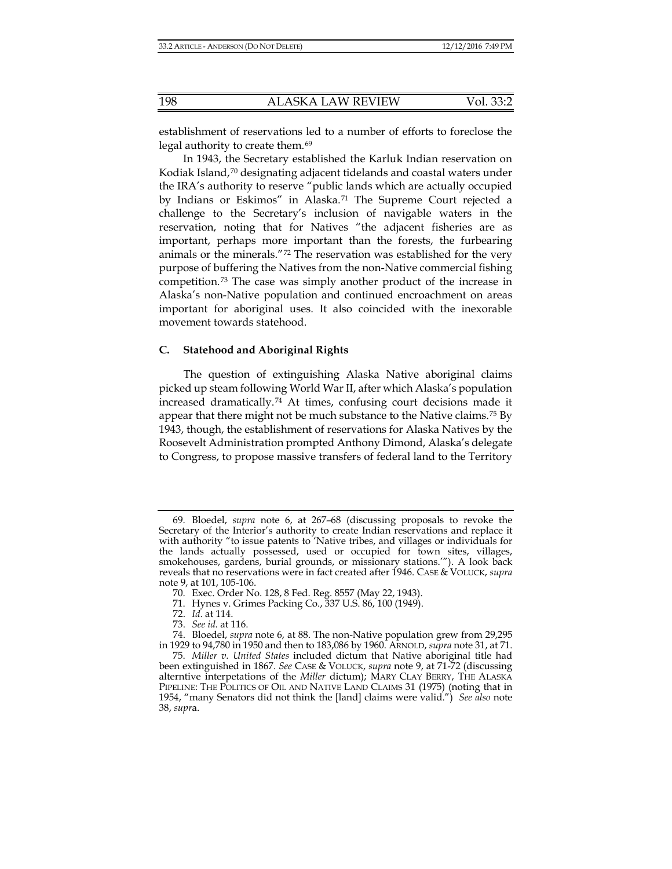establishment of reservations led to a number of efforts to foreclose the legal authority to create them.<sup>[69](#page-11-2)</sup>

In 1943, the Secretary established the Karluk Indian reservation on Kodiak Island, $70$  designating adjacent tidelands and coastal waters under the IRA's authority to reserve "public lands which are actually occupied by Indians or Eskimos" in Alaska.[71](#page-11-4) The Supreme Court rejected a challenge to the Secretary's inclusion of navigable waters in the reservation, noting that for Natives "the adjacent fisheries are as important, perhaps more important than the forests, the furbearing animals or the minerals."[72](#page-11-5) The reservation was established for the very purpose of buffering the Natives from the non-Native commercial fishing competition.[73](#page-11-6) The case was simply another product of the increase in Alaska's non-Native population and continued encroachment on areas important for aboriginal uses. It also coincided with the inexorable movement towards statehood.

#### **C. Statehood and Aboriginal Rights**

The question of extinguishing Alaska Native aboriginal claims picked up steam following World War II, after which Alaska's population increased dramatically.[74](#page-11-7) At times, confusing court decisions made it appear that there might not be much substance to the Native claims.<sup>[75](#page-11-8)</sup> By 1943, though, the establishment of reservations for Alaska Natives by the Roosevelt Administration prompted Anthony Dimond, Alaska's delegate to Congress, to propose massive transfers of federal land to the Territory

<span id="page-11-2"></span><span id="page-11-1"></span><span id="page-11-0"></span><sup>69.</sup> Bloedel, *supra* note [6,](#page-2-1) at 267–68 (discussing proposals to revoke the Secretary of the Interior's authority to create Indian reservations and replace it with authority "to issue patents to 'Native tribes, and villages or individuals for the lands actually possessed, used or occupied for town sites, villages, smokehouses, gardens, burial grounds, or missionary stations.'"). A look back reveals that no reservations were in fact created after 1946. CASE & VOLUCK, *supra* not[e 9,](#page-2-7) at 101, 105-106.

<sup>70.</sup> Exec. Order No. 128, 8 Fed. Reg. 8557 (May 22, 1943).

<sup>71.</sup> Hynes v. Grimes Packing Co., 337 U.S. 86, 100 (1949).

<sup>72.</sup> *Id.* at 114.

<sup>73.</sup> *See id.* at 116.

<sup>74.</sup> Bloedel, *supra* not[e 6,](#page-2-1) at 88. The non-Native population grew from 29,295 in 1929 to 94,780 in 1950 and then to 183,086 by 1960. ARNOLD, *supra* not[e 31,](#page-6-9) at 71.

<span id="page-11-8"></span><span id="page-11-7"></span><span id="page-11-6"></span><span id="page-11-5"></span><span id="page-11-4"></span><span id="page-11-3"></span><sup>75.</sup> *Miller v. United States* included dictum that Native aboriginal title had been extinguished in 1867. *See* CASE & VOLUCK, *supra* note 9, at 71-72 (discussing alterntive interpetations of the *Miller* dictum); MARY CLAY BERRY, THE ALASKA PIPELINE: THE POLITICS OF OIL AND NATIVE LAND CLAIMS 31 (1975) (noting that in 1954, "many Senators did not think the [land] claims were valid.") *See also* note 38, *supr*a.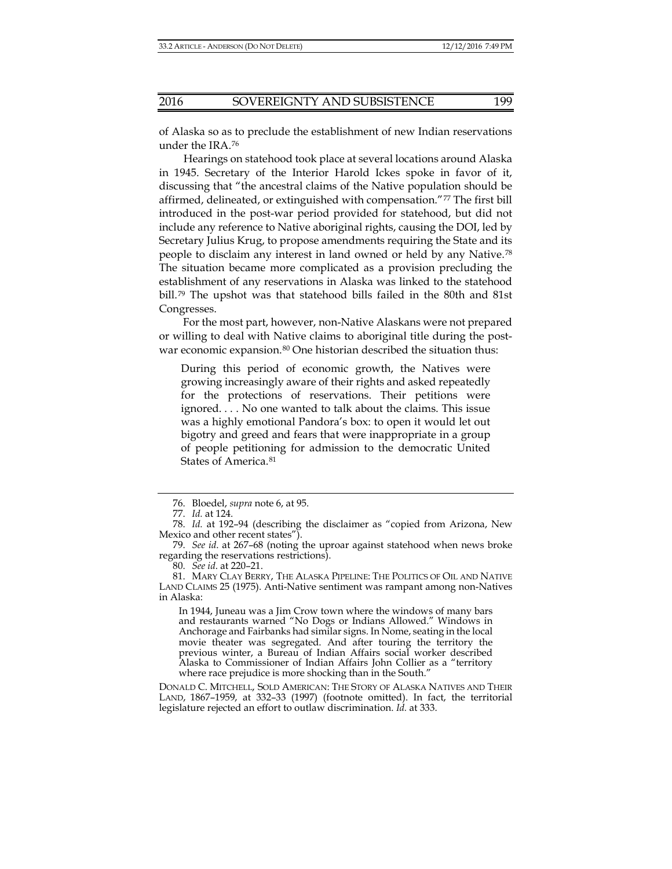of Alaska so as to preclude the establishment of new Indian reservations under the IRA.[76](#page-12-0)

Hearings on statehood took place at several locations around Alaska in 1945. Secretary of the Interior Harold Ickes spoke in favor of it, discussing that "the ancestral claims of the Native population should be affirmed, delineated, or extinguished with compensation."[77](#page-12-1) The first bill introduced in the post-war period provided for statehood, but did not include any reference to Native aboriginal rights, causing the DOI, led by Secretary Julius Krug, to propose amendments requiring the State and its people to disclaim any interest in land owned or held by any Native.[78](#page-12-2) The situation became more complicated as a provision precluding the establishment of any reservations in Alaska was linked to the statehood bill.[79](#page-12-3) The upshot was that statehood bills failed in the 80th and 81st Congresses.

For the most part, however, non-Native Alaskans were not prepared or willing to deal with Native claims to aboriginal title during the post-war economic expansion.<sup>[80](#page-12-4)</sup> One historian described the situation thus:

During this period of economic growth, the Natives were growing increasingly aware of their rights and asked repeatedly for the protections of reservations. Their petitions were ignored. . . . No one wanted to talk about the claims. This issue was a highly emotional Pandora's box: to open it would let out bigotry and greed and fears that were inappropriate in a group of people petitioning for admission to the democratic United States of America.[81](#page-12-5)

In 1944, Juneau was a Jim Crow town where the windows of many bars and restaurants warned "No Dogs or Indians Allowed." Windows in Anchorage and Fairbanks had similar signs. In Nome, seating in the local movie theater was segregated. And after touring the territory the previous winter, a Bureau of Indian Affairs social worker described Alaska to Commissioner of Indian Affairs John Collier as a "territory where race prejudice is more shocking than in the South."

<span id="page-12-6"></span><sup>76.</sup> Bloedel, *supra* not[e 6,](#page-2-1) at 95.

<sup>77.</sup> *Id.* at 124.

<sup>78.</sup> *Id.* at 192–94 (describing the disclaimer as "copied from Arizona, New Mexico and other recent states").

<sup>79.</sup> *See id*. at 267–68 (noting the uproar against statehood when news broke regarding the reservations restrictions).

<sup>80.</sup> *See id*. at 220–21.

<span id="page-12-2"></span><span id="page-12-1"></span><span id="page-12-0"></span><sup>81.</sup> MARY CLAY BERRY, THE ALASKA PIPELINE: THE POLITICS OF OIL AND NATIVE LAND CLAIMS 25 (1975). Anti-Native sentiment was rampant among non-Natives in Alaska:

<span id="page-12-5"></span><span id="page-12-4"></span><span id="page-12-3"></span>DONALD C. MITCHELL, SOLD AMERICAN: THE STORY OF ALASKA NATIVES AND THEIR LAND, 1867–1959, at 332–33 (1997) (footnote omitted). In fact, the territorial legislature rejected an effort to outlaw discrimination. *Id.* at 333.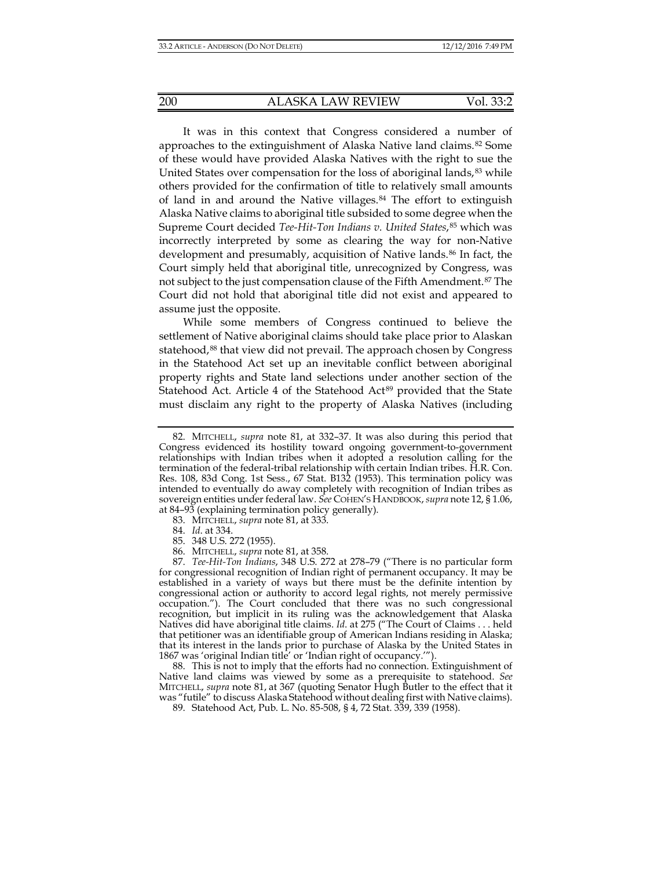It was in this context that Congress considered a number of approaches to the extinguishment of Alaska Native land claims.[82](#page-13-0) Some of these would have provided Alaska Natives with the right to sue the United States over compensation for the loss of aboriginal lands,<sup>[83](#page-13-1)</sup> while others provided for the confirmation of title to relatively small amounts of land in and around the Native villages.[84](#page-13-2) The effort to extinguish Alaska Native claims to aboriginal title subsided to some degree when the Supreme Court decided *Tee-Hit-Ton Indians v. United States*,[85](#page-13-3) which was incorrectly interpreted by some as clearing the way for non-Native development and presumably, acquisition of Native lands.<sup>[86](#page-13-4)</sup> In fact, the Court simply held that aboriginal title, unrecognized by Congress, was not subject to the just compensation clause of the Fifth Amendment.[87](#page-13-5) The Court did not hold that aboriginal title did not exist and appeared to assume just the opposite.

While some members of Congress continued to believe the settlement of Native aboriginal claims should take place prior to Alaskan statehood,<sup>[88](#page-14-0)</sup> that view did not prevail. The approach chosen by Congress in the Statehood Act set up an inevitable conflict between aboriginal property rights and State land selections under another section of the Statehood Act. Article 4 of the Statehood Act<sup>[89](#page-14-1)</sup> provided that the State must disclaim any right to the property of Alaska Natives (including

<span id="page-13-0"></span><sup>82.</sup> MITCHELL, *supra* note [81,](#page-12-6) at 332–37. It was also during this period that Congress evidenced its hostility toward ongoing government-to-government relationships with Indian tribes when it adopted a resolution calling for the termination of the federal-tribal relationship with certain Indian tribes. H.R. Con. Res. 108, 83d Cong. 1st Sess., 67 Stat. B132 (1953). This termination policy was intended to eventually do away completely with recognition of Indian tribes as sovereign entities under federal law. *See* COHEN'S HANDBOOK, *supra* not[e 12,](#page-3-0) § 1.06, at 84–93 (explaining termination policy generally).

<sup>83.</sup> MITCHELL, *supra* not[e 81,](#page-12-6) at 333.

<sup>84.</sup> *Id*. at 334.

<sup>85.</sup> 348 U.S. 272 (1955).

<sup>86.</sup> MITCHELL, *supra* not[e 81,](#page-12-6) at 358.

<span id="page-13-5"></span><span id="page-13-4"></span><span id="page-13-3"></span><span id="page-13-2"></span><span id="page-13-1"></span><sup>87.</sup> *Tee-Hit-Ton Indians*, 348 U.S. 272 at 278–79 ("There is no particular form for congressional recognition of Indian right of permanent occupancy. It may be established in a variety of ways but there must be the definite intention by congressional action or authority to accord legal rights, not merely permissive occupation."). The Court concluded that there was no such congressional recognition, but implicit in its ruling was the acknowledgement that Alaska Natives did have aboriginal title claims. *Id*. at 275 ("The Court of Claims . . . held that petitioner was an identifiable group of American Indians residing in Alaska; that its interest in the lands prior to purchase of Alaska by the United States in 1867 was 'original Indian title' or 'Indian right of occupancy.'").

<sup>88.</sup> This is not to imply that the efforts had no connection. Extinguishment of Native land claims was viewed by some as a prerequisite to statehood. *See* MITCHELL, *supra* note [81,](#page-12-6) at 367 (quoting Senator Hugh Butler to the effect that it was "futile" to discuss Alaska Statehood without dealing first with Native claims).

<sup>89.</sup> Statehood Act, Pub. L. No. 85-508, § 4, 72 Stat. 339, 339 (1958).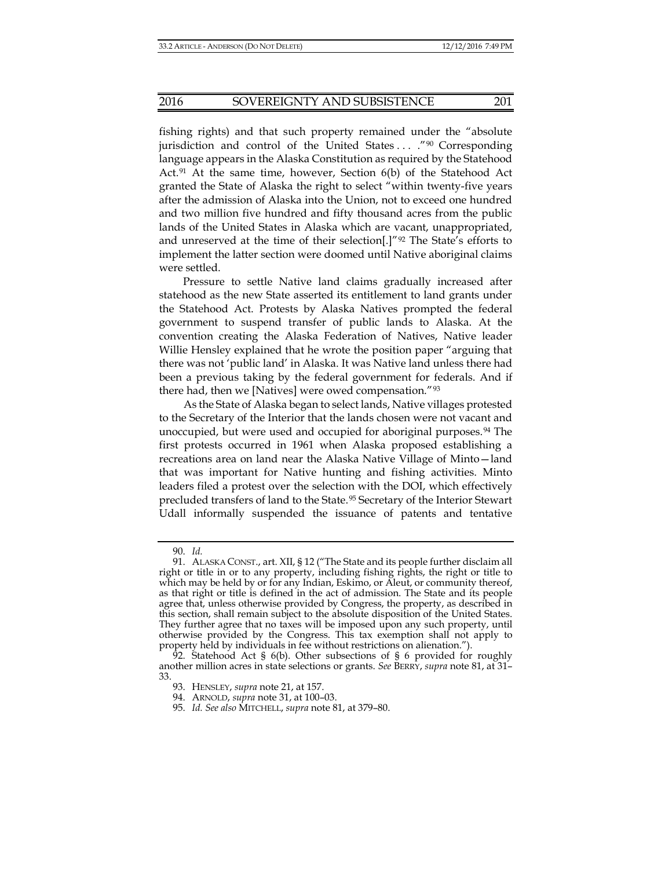fishing rights) and that such property remained under the "absolute jurisdiction and control of the United States ... ."<sup>[90](#page-14-2)</sup> Corresponding language appears in the Alaska Constitution as required by the Statehood Act.<sup>[91](#page-14-3)</sup> At the same time, however, Section  $6(b)$  of the Statehood Act granted the State of Alaska the right to select "within twenty-five years after the admission of Alaska into the Union, not to exceed one hundred and two million five hundred and fifty thousand acres from the public lands of the United States in Alaska which are vacant, unappropriated, and unreserved at the time of their selection[.]" $\frac{92}{2}$  $\frac{92}{2}$  $\frac{92}{2}$  The State's efforts to implement the latter section were doomed until Native aboriginal claims were settled.

Pressure to settle Native land claims gradually increased after statehood as the new State asserted its entitlement to land grants under the Statehood Act. Protests by Alaska Natives prompted the federal government to suspend transfer of public lands to Alaska. At the convention creating the Alaska Federation of Natives, Native leader Willie Hensley explained that he wrote the position paper "arguing that there was not 'public land' in Alaska. It was Native land unless there had been a previous taking by the federal government for federals. And if there had, then we [Natives] were owed compensation."[93](#page-14-5)

As the State of Alaska began to select lands, Native villages protested to the Secretary of the Interior that the lands chosen were not vacant and unoccupied, but were used and occupied for aboriginal purposes.<sup>[94](#page-15-0)</sup> The first protests occurred in 1961 when Alaska proposed establishing a recreations area on land near the Alaska Native Village of Minto—land that was important for Native hunting and fishing activities. Minto leaders filed a protest over the selection with the DOI, which effectively precluded transfers of land to the State.<sup>[95](#page-15-1)</sup> Secretary of the Interior Stewart Udall informally suspended the issuance of patents and tentative

<sup>90.</sup> *Id.*

<span id="page-14-3"></span><span id="page-14-2"></span><span id="page-14-1"></span><span id="page-14-0"></span><sup>91.</sup> ALASKA CONST., art. XII, § 12 ("The State and its people further disclaim all right or title in or to any property, including fishing rights, the right or title to which may be held by or for any Indian, Eskimo, or Aleut, or community thereof, as that right or title is defined in the act of admission. The State and its people agree that, unless otherwise provided by Congress, the property, as described in this section, shall remain subject to the absolute disposition of the United States. They further agree that no taxes will be imposed upon any such property, until otherwise provided by the Congress. This tax exemption shall not apply to property held by individuals in fee without restrictions on alienation.").

<span id="page-14-5"></span><span id="page-14-4"></span><sup>92.</sup> Statehood Act §  $6(b)$ . Other subsections of § 6 provided for roughly another million acres in state selections or grants. *See* BERRY, *supra* note [81,](#page-12-6) at 31– 33.

<sup>93.</sup> HENSLEY, *supra* not[e 21,](#page-5-7) at 157.

<sup>94.</sup> ARNOLD, *supra* not[e 31,](#page-6-9) at 100–03.

<sup>95.</sup> *Id. See also* MITCHELL, *supra* note [81,](#page-12-6) at 379–80.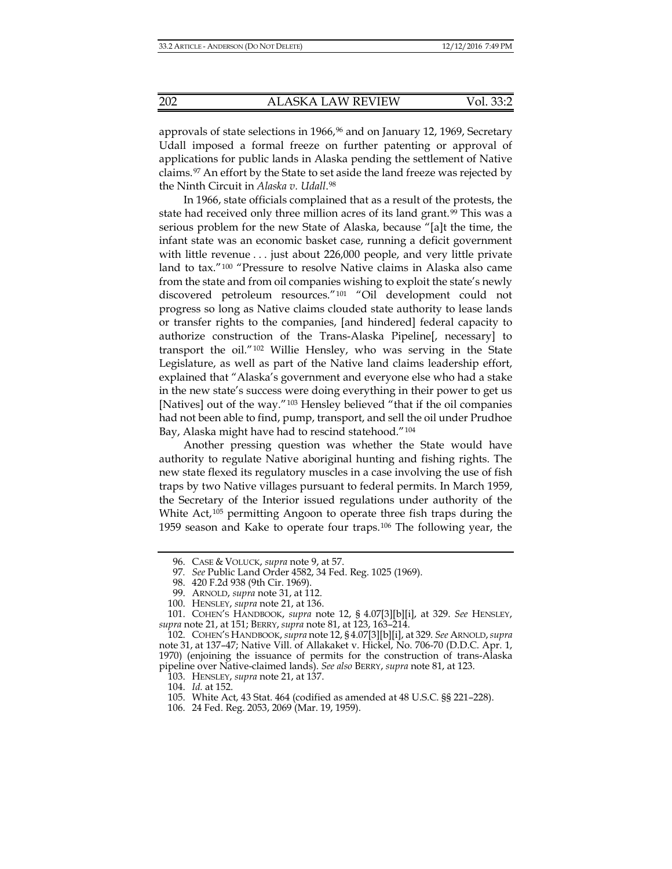approvals of state selections in 1[96](#page-15-2)6,<sup>96</sup> and on January 12, 1969, Secretary Udall imposed a formal freeze on further patenting or approval of applications for public lands in Alaska pending the settlement of Native claims.[97](#page-15-3) An effort by the State to set aside the land freeze was rejected by the Ninth Circuit in *Alaska v. Udall*.[98](#page-15-4)

In 1966, state officials complained that as a result of the protests, the state had received only three million acres of its land grant.<sup>[99](#page-15-5)</sup> This was a serious problem for the new State of Alaska, because "[a]t the time, the infant state was an economic basket case, running a deficit government with little revenue . . . just about 226,000 people, and very little private land to tax."[100](#page-15-6) "Pressure to resolve Native claims in Alaska also came from the state and from oil companies wishing to exploit the state's newly discovered petroleum resources."[101](#page-15-7) "Oil development could not progress so long as Native claims clouded state authority to lease lands or transfer rights to the companies, [and hindered] federal capacity to authorize construction of the Trans-Alaska Pipeline[, necessary] to transport the oil."[102](#page-15-8) Willie Hensley, who was serving in the State Legislature, as well as part of the Native land claims leadership effort, explained that "Alaska's government and everyone else who had a stake in the new state's success were doing everything in their power to get us [Natives] out of the way."[103](#page-15-9) Hensley believed "that if the oil companies had not been able to find, pump, transport, and sell the oil under Prudhoe Bay, Alaska might have had to rescind statehood."[104](#page-16-0)

Another pressing question was whether the State would have authority to regulate Native aboriginal hunting and fishing rights. The new state flexed its regulatory muscles in a case involving the use of fish traps by two Native villages pursuant to federal permits. In March 1959, the Secretary of the Interior issued regulations under authority of the White Act,<sup>[105](#page-16-1)</sup> permitting Angoon to operate three fish traps during the 1959 season and Kake to operate four traps.[106](#page-16-2) The following year, the

<sup>96.</sup> CASE & VOLUCK, *supra* note [9,](#page-2-7) at 57.

<sup>97</sup>*. See* Public Land Order 4582, 34 Fed. Reg. 1025 (1969).

<sup>98.</sup> 420 F.2d 938 (9th Cir. 1969).

<sup>99.</sup> ARNOLD, *supra* not[e 31,](#page-6-9) at 112.

<sup>100.</sup> HENSLEY, *supra* not[e 21,](#page-5-7) at 136.

<span id="page-15-5"></span><span id="page-15-4"></span><span id="page-15-3"></span><span id="page-15-2"></span><span id="page-15-1"></span><span id="page-15-0"></span><sup>101.</sup> COHEN'S HANDBOOK, *supra* note [12,](#page-3-0) § 4.07[3][b][i], at 329. *See* HENSLEY, *supra* not[e 21,](#page-5-7) at 151; BERRY, *supra* note [81,](#page-12-6) at 123, 163–214.

<span id="page-15-8"></span><span id="page-15-7"></span><span id="page-15-6"></span><sup>102.</sup> COHEN'S HANDBOOK, *supra* not[e 12,](#page-3-0) § 4.07[3][b][i], at 329. *See* ARNOLD,*supra*  note [31,](#page-6-9) at 137–47; Native Vill. of Allakaket v. Hickel, No. 706-70 (D.D.C. Apr. 1, 1970) (enjoining the issuance of permits for the construction of trans-Alaska pipeline over Native-claimed lands). *See also* BERRY, *supra* note [81,](#page-12-6) at 123.

<sup>103.</sup> HENSLEY, *supra* not[e 21,](#page-5-7) at 137.

<sup>104.</sup> *Id.* at 152.

<sup>105.</sup> White Act, 43 Stat. 464 (codified as amended at 48 U.S.C. §§ 221–228).

<span id="page-15-9"></span><sup>106.</sup> 24 Fed. Reg. 2053, 2069 (Mar. 19, 1959).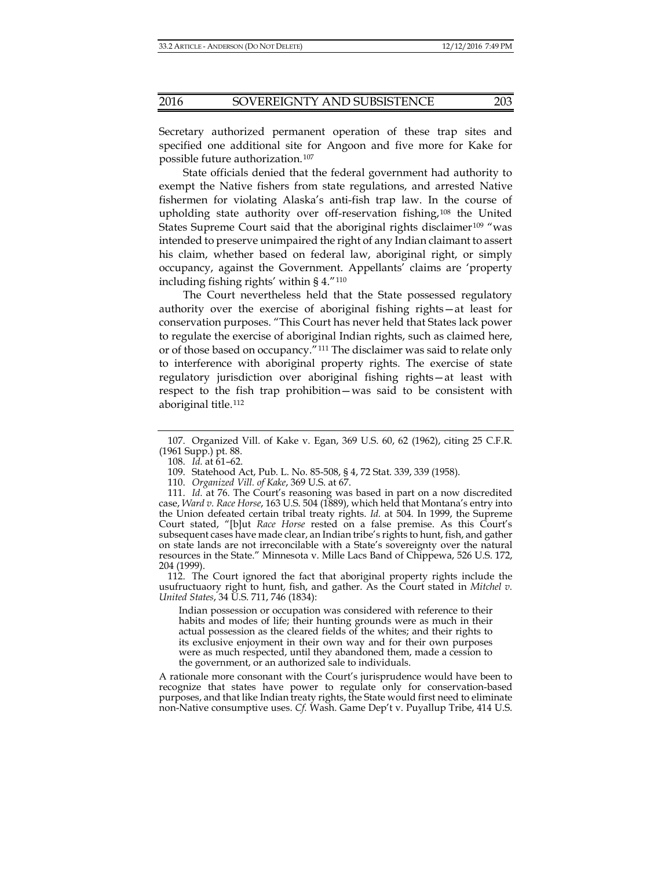Secretary authorized permanent operation of these trap sites and specified one additional site for Angoon and five more for Kake for possible future authorization.[107](#page-16-3)

State officials denied that the federal government had authority to exempt the Native fishers from state regulations, and arrested Native fishermen for violating Alaska's anti-fish trap law. In the course of upholding state authority over off-reservation fishing,[108](#page-16-4) the United States Supreme Court said that the aboriginal rights disclaimer<sup>[109](#page-16-5)</sup> "was intended to preserve unimpaired the right of any Indian claimant to assert his claim, whether based on federal law, aboriginal right, or simply occupancy, against the Government. Appellants' claims are 'property including fishing rights' within § 4."[110](#page-16-6)

The Court nevertheless held that the State possessed regulatory authority over the exercise of aboriginal fishing rights—at least for conservation purposes. "This Court has never held that States lack power to regulate the exercise of aboriginal Indian rights, such as claimed here, or of those based on occupancy."[111](#page-16-7) The disclaimer was said to relate only to interference with aboriginal property rights. The exercise of state regulatory jurisdiction over aboriginal fishing rights—at least with respect to the fish trap prohibition—was said to be consistent with aboriginal title.<sup>[112](#page-17-0)</sup>

<span id="page-16-6"></span><span id="page-16-5"></span><span id="page-16-4"></span><span id="page-16-3"></span><span id="page-16-2"></span><span id="page-16-1"></span><span id="page-16-0"></span>112. The Court ignored the fact that aboriginal property rights include the usufructuaory right to hunt, fish, and gather. As the Court stated in *Mitchel v. United States*, 34 U.S. 711, 746 (1834):

Indian possession or occupation was considered with reference to their habits and modes of life; their hunting grounds were as much in their actual possession as the cleared fields of the whites; and their rights to its exclusive enjoyment in their own way and for their own purposes were as much respected, until they abandoned them, made a cession to the government, or an authorized sale to individuals.

<span id="page-16-7"></span>A rationale more consonant with the Court's jurisprudence would have been to recognize that states have power to regulate only for conservation-based purposes, and that like Indian treaty rights, the State would first need to eliminate non-Native consumptive uses. *Cf.* Wash. Game Dep't v. Puyallup Tribe, 414 U.S.

<sup>107.</sup> Organized Vill. of Kake v. Egan, 369 U.S. 60, 62 (1962), citing 25 C.F.R. (1961 Supp.) pt. 88.

<sup>108.</sup> *Id.* at 61–62.

<sup>109.</sup> Statehood Act, Pub. L. No. 85-508, § 4, 72 Stat. 339, 339 (1958).

<sup>110.</sup> *Organized Vill. of Kake*, 369 U.S. at 67.

<sup>111.</sup> *Id.* at 76. The Court's reasoning was based in part on a now discredited case, *Ward v. Race Horse*, 163 U.S. 504 (1889), which held that Montana's entry into the Union defeated certain tribal treaty rights. *Id.* at 504. In 1999, the Supreme Court stated, "[b]ut *Race Horse* rested on a false premise. As this Court's subsequent cases have made clear, an Indian tribe's rights to hunt, fish, and gather on state lands are not irreconcilable with a State's sovereignty over the natural resources in the State." Minnesota v. Mille Lacs Band of Chippewa, 526 U.S. 172, 204 (1999).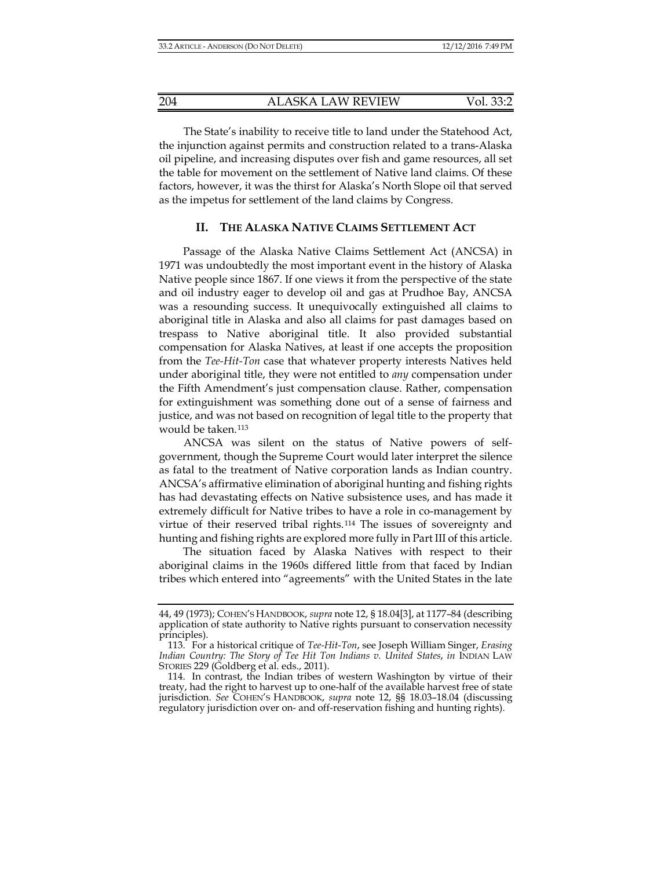The State's inability to receive title to land under the Statehood Act, the injunction against permits and construction related to a trans-Alaska oil pipeline, and increasing disputes over fish and game resources, all set the table for movement on the settlement of Native land claims. Of these factors, however, it was the thirst for Alaska's North Slope oil that served as the impetus for settlement of the land claims by Congress.

#### **II. THE ALASKA NATIVE CLAIMS SETTLEMENT ACT**

Passage of the Alaska Native Claims Settlement Act (ANCSA) in 1971 was undoubtedly the most important event in the history of Alaska Native people since 1867. If one views it from the perspective of the state and oil industry eager to develop oil and gas at Prudhoe Bay, ANCSA was a resounding success. It unequivocally extinguished all claims to aboriginal title in Alaska and also all claims for past damages based on trespass to Native aboriginal title. It also provided substantial compensation for Alaska Natives, at least if one accepts the proposition from the *Tee-Hit-Ton* case that whatever property interests Natives held under aboriginal title, they were not entitled to *any* compensation under the Fifth Amendment's just compensation clause. Rather, compensation for extinguishment was something done out of a sense of fairness and justice, and was not based on recognition of legal title to the property that would be taken.[113](#page-17-1)

ANCSA was silent on the status of Native powers of selfgovernment, though the Supreme Court would later interpret the silence as fatal to the treatment of Native corporation lands as Indian country. ANCSA's affirmative elimination of aboriginal hunting and fishing rights has had devastating effects on Native subsistence uses, and has made it extremely difficult for Native tribes to have a role in co-management by virtue of their reserved tribal rights.[114](#page-18-0) The issues of sovereignty and hunting and fishing rights are explored more fully in Part III of this article.

<span id="page-17-0"></span>The situation faced by Alaska Natives with respect to their aboriginal claims in the 1960s differed little from that faced by Indian tribes which entered into "agreements" with the United States in the late

<sup>44, 49 (1973);</sup> COHEN'S HANDBOOK, *supra* not[e 12,](#page-3-0) § 18.04[3], at 1177–84 (describing application of state authority to Native rights pursuant to conservation necessity principles).

<sup>113.</sup> For a historical critique of *Tee-Hit-Ton*, see Joseph William Singer, *Erasing Indian Country: The Story of Tee Hit Ton Indians v. United States*, *in* INDIAN LAW STORIES 229 (Goldberg et al. eds., 2011).

<span id="page-17-1"></span><sup>114.</sup> In contrast, the Indian tribes of western Washington by virtue of their treaty, had the right to harvest up to one-half of the available harvest free of state jurisdiction. See COHEN'S HANDBOOK, *supra* note [12,](#page-3-0) §§ 18.03-18.04 (discussing regulatory jurisdiction over on- and off-reservation fishing and hunting rights).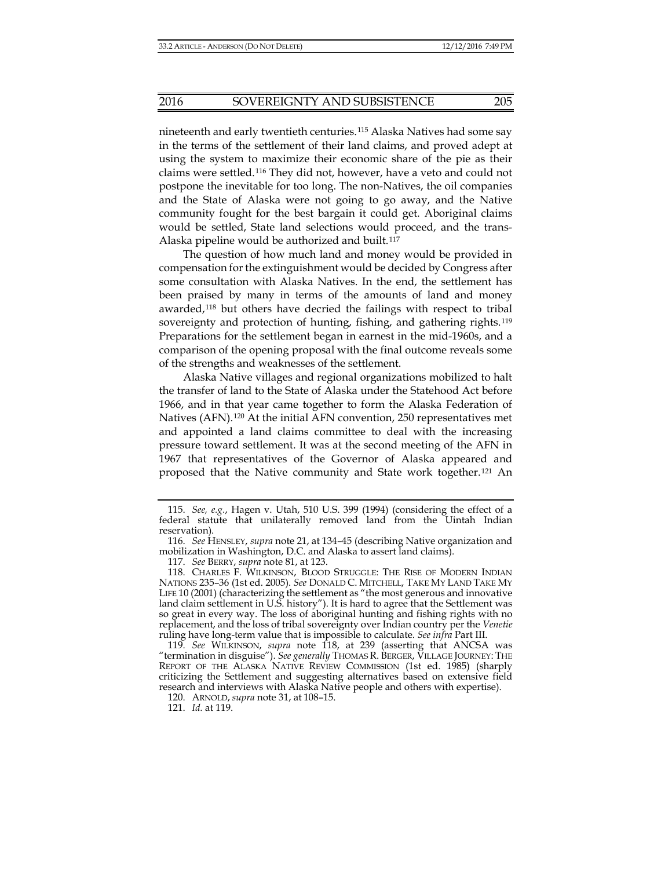nineteenth and early twentieth centuries.[115](#page-18-1) Alaska Natives had some say in the terms of the settlement of their land claims, and proved adept at using the system to maximize their economic share of the pie as their claims were settled.[116](#page-18-2) They did not, however, have a veto and could not postpone the inevitable for too long. The non-Natives, the oil companies and the State of Alaska were not going to go away, and the Native community fought for the best bargain it could get. Aboriginal claims would be settled, State land selections would proceed, and the trans-Alaska pipeline would be authorized and built.<sup>[117](#page-18-3)</sup>

<span id="page-18-6"></span>The question of how much land and money would be provided in compensation for the extinguishment would be decided by Congress after some consultation with Alaska Natives. In the end, the settlement has been praised by many in terms of the amounts of land and money awarded,[118](#page-18-4) but others have decried the failings with respect to tribal sovereignty and protection of hunting, fishing, and gathering rights.<sup>[119](#page-18-5)</sup> Preparations for the settlement began in earnest in the mid-1960s, and a comparison of the opening proposal with the final outcome reveals some of the strengths and weaknesses of the settlement.

Alaska Native villages and regional organizations mobilized to halt the transfer of land to the State of Alaska under the Statehood Act before 1966, and in that year came together to form the Alaska Federation of Natives (AFN).[120](#page-19-0) At the initial AFN convention, 250 representatives met and appointed a land claims committee to deal with the increasing pressure toward settlement. It was at the second meeting of the AFN in 1967 that representatives of the Governor of Alaska appeared and proposed that the Native community and State work together.[121](#page-19-1) An

<span id="page-18-5"></span>120. ARNOLD, *supra* note 31, at 108–15.

<span id="page-18-0"></span><sup>115.</sup> *See, e.g.*, Hagen v. Utah, 510 U.S. 399 (1994) (considering the effect of a federal statute that unilaterally removed land from the Uintah Indian reservation).

<sup>116.</sup> *See* HENSLEY, *supra* not[e 21,](#page-5-7) at 134–45 (describing Native organization and mobilization in Washington, D.C. and Alaska to assert land claims).

<sup>117.</sup> *See* BERRY, *supra* note [81,](#page-12-6) at 123.

<span id="page-18-2"></span><span id="page-18-1"></span><sup>118.</sup> CHARLES F. WILKINSON, BLOOD STRUGGLE: THE RISE OF MODERN INDIAN NATIONS 235–36 (1st ed. 2005). *See* DONALD C. MITCHELL, TAKE MY LAND TAKE MY LIFE 10 (2001) (characterizing the settlement as "the most generous and innovative land claim settlement in U.S. history"). It is hard to agree that the Settlement was so great in every way. The loss of aboriginal hunting and fishing rights with no replacement, and the loss of tribal sovereignty over Indian country per the *Venetie* ruling have long-term value that is impossible to calculate. *See infra* Part III.

<span id="page-18-4"></span><span id="page-18-3"></span><sup>119.</sup> *See* WILKINSON, *supra* note 118, at 239 (asserting that ANCSA was "termination in disguise"). *See generally* THOMAS R. BERGER, VILLAGE JOURNEY: THE REPORT OF THE ALASKA NATIVE REVIEW COMMISSION (1st ed. 1985) (sharply criticizing the Settlement and suggesting alternatives based on extensive field research and interviews with Alaska Native people and others with expertise).

<sup>121.</sup> *Id.* at 119.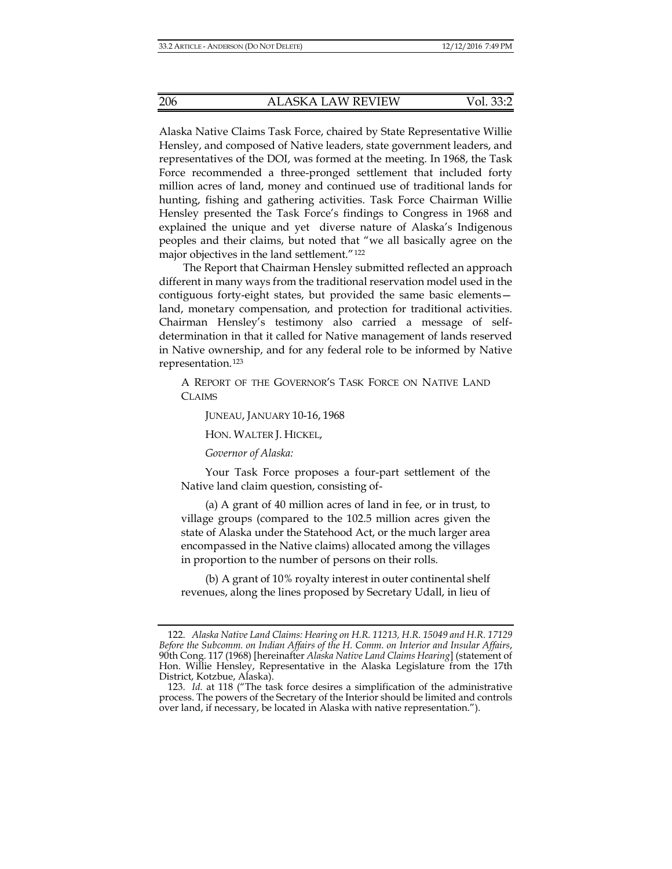Alaska Native Claims Task Force, chaired by State Representative Willie Hensley, and composed of Native leaders, state government leaders, and representatives of the DOI, was formed at the meeting. In 1968, the Task Force recommended a three-pronged settlement that included forty million acres of land, money and continued use of traditional lands for hunting, fishing and gathering activities. Task Force Chairman Willie Hensley presented the Task Force's findings to Congress in 1968 and explained the unique and yet diverse nature of Alaska's Indigenous peoples and their claims, but noted that "we all basically agree on the major objectives in the land settlement."[122](#page-19-2)

<span id="page-19-5"></span><span id="page-19-4"></span>The Report that Chairman Hensley submitted reflected an approach different in many ways from the traditional reservation model used in the contiguous forty-eight states, but provided the same basic elements land, monetary compensation, and protection for traditional activities. Chairman Hensley's testimony also carried a message of selfdetermination in that it called for Native management of lands reserved in Native ownership, and for any federal role to be informed by Native representation.[123](#page-19-3)

A REPORT OF THE GOVERNOR'S TASK FORCE ON NATIVE LAND CLAIMS

JUNEAU, JANUARY 10-16, 1968

HON. WALTER J. HICKEL,

*Governor of Alaska:*

Your Task Force proposes a four-part settlement of the Native land claim question, consisting of-

(a) A grant of 40 million acres of land in fee, or in trust, to village groups (compared to the 102.5 million acres given the state of Alaska under the Statehood Act, or the much larger area encompassed in the Native claims) allocated among the villages in proportion to the number of persons on their rolls.

(b) A grant of 10% royalty interest in outer continental shelf revenues, along the lines proposed by Secretary Udall, in lieu of

<span id="page-19-2"></span><span id="page-19-1"></span><span id="page-19-0"></span><sup>122.</sup> *Alaska Native Land Claims: Hearing on H.R. 11213, H.R. 15049 and H.R. 17129 Before the Subcomm. on Indian Affairs of the H. Comm. on Interior and Insular Affairs*, 90th Cong. 117 (1968) [hereinafter *Alaska Native Land Claims Hearing*] (statement of Hon. Willie Hensley, Representative in the Alaska Legislature from the 17th District, Kotzbue, Alaska).

<span id="page-19-3"></span><sup>123.</sup> *Id.* at 118 ("The task force desires a simplification of the administrative process. The powers of the Secretary of the Interior should be limited and controls over land, if necessary, be located in Alaska with native representation.").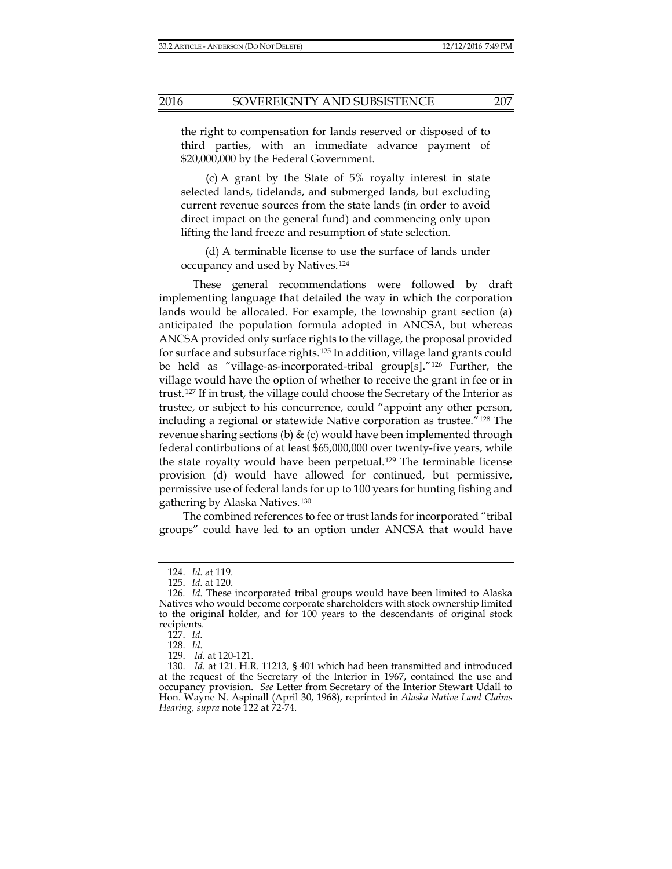<span id="page-20-4"></span>

the right to compensation for lands reserved or disposed of to third parties, with an immediate advance payment of \$20,000,000 by the Federal Government.

(c) A grant by the State of 5% royalty interest in state selected lands, tidelands, and submerged lands, but excluding current revenue sources from the state lands (in order to avoid direct impact on the general fund) and commencing only upon lifting the land freeze and resumption of state selection.

(d) A terminable license to use the surface of lands under occupancy and used by Natives.[124](#page-20-0)

These general recommendations were followed by draft implementing language that detailed the way in which the corporation lands would be allocated. For example, the township grant section (a) anticipated the population formula adopted in ANCSA, but whereas ANCSA provided only surface rights to the village, the proposal provided for surface and subsurface rights.[125](#page-20-1) In addition, village land grants could be held as "village-as-incorporated-tribal group[s]."[126](#page-20-2) Further, the village would have the option of whether to receive the grant in fee or in trust.[127](#page-20-3) If in trust, the village could choose the Secretary of the Interior as trustee, or subject to his concurrence, could "appoint any other person, including a regional or statewide Native corporation as trustee."[128](#page-21-0) The revenue sharing sections (b)  $\&$  (c) would have been implemented through federal contirbutions of at least \$65,000,000 over twenty-five years, while the state royalty would have been perpetual.[129](#page-21-1) The terminable license provision (d) would have allowed for continued, but permissive, permissive use of federal lands for up to 100 years for hunting fishing and gathering by Alaska Natives.[130](#page-21-2)

The combined references to fee or trust lands for incorporated "tribal groups" could have led to an option under ANCSA that would have

<sup>124.</sup> *Id.* at 119.

<sup>125.</sup> *Id.* at 120.

<sup>126</sup>*. Id.* These incorporated tribal groups would have been limited to Alaska Natives who would become corporate shareholders with stock ownership limited to the original holder, and for 100 years to the descendants of original stock recipients.

<sup>127.</sup> *Id.*

<sup>128.</sup> *Id.*

<sup>129.</sup> *Id*. at 120-121.

<span id="page-20-3"></span><span id="page-20-2"></span><span id="page-20-1"></span><span id="page-20-0"></span><sup>130.</sup> *Id*. at 121. H.R. 11213, § 401 which had been transmitted and introduced at the request of the Secretary of the Interior in 1967, contained the use and occupancy provision. *See* Letter from Secretary of the Interior Stewart Udall to Hon. Wayne N. Aspinall (April 30, 1968), reprinted in *Alaska Native Land Claims Hearing, supra* note 122 at 72-74.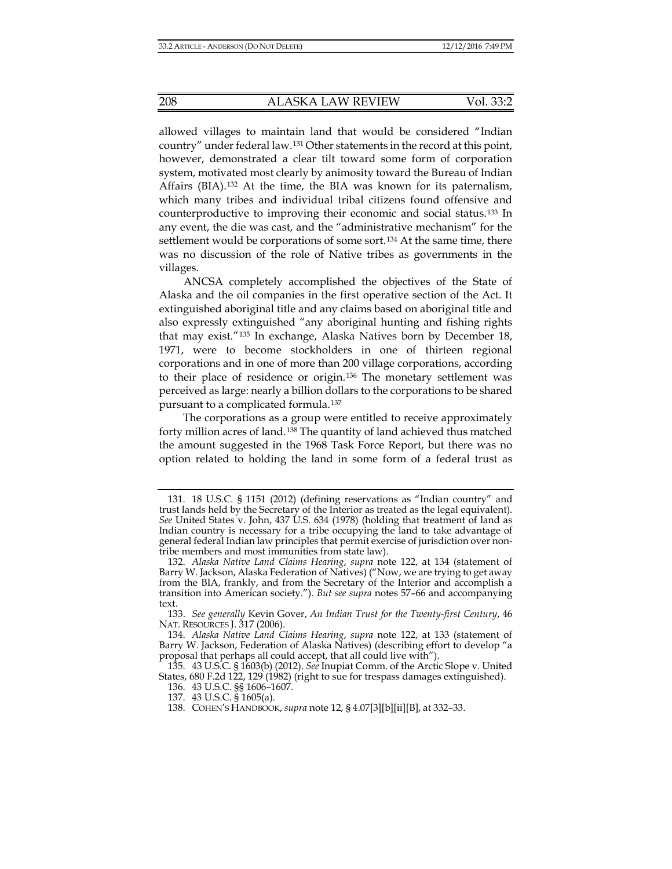<span id="page-21-7"></span>allowed villages to maintain land that would be considered "Indian country" under federal law.[131](#page-21-3) Other statements in the record at this point, however, demonstrated a clear tilt toward some form of corporation system, motivated most clearly by animosity toward the Bureau of Indian Affairs (BIA).[132](#page-21-4) At the time, the BIA was known for its paternalism, which many tribes and individual tribal citizens found offensive and counterproductive to improving their economic and social status.[133](#page-21-5) In any event, the die was cast, and the "administrative mechanism" for the settlement would be corporations of some sort.[134](#page-21-6) At the same time, there was no discussion of the role of Native tribes as governments in the villages.

<span id="page-21-8"></span>ANCSA completely accomplished the objectives of the State of Alaska and the oil companies in the first operative section of the Act. It extinguished aboriginal title and any claims based on aboriginal title and also expressly extinguished "any aboriginal hunting and fishing rights that may exist."[135](#page-22-0) In exchange, Alaska Natives born by December 18, 1971, were to become stockholders in one of thirteen regional corporations and in one of more than 200 village corporations, according to their place of residence or origin.[136](#page-22-1) The monetary settlement was perceived as large: nearly a billion dollars to the corporations to be shared pursuant to a complicated formula.<sup>[137](#page-22-2)</sup>

The corporations as a group were entitled to receive approximately forty million acres of land.[138](#page-22-3) The quantity of land achieved thus matched the amount suggested in the 1968 Task Force Report, but there was no option related to holding the land in some form of a federal trust as

<span id="page-21-2"></span><span id="page-21-1"></span><span id="page-21-0"></span><sup>131.</sup> 18 U.S.C. § 1151 (2012) (defining reservations as "Indian country" and trust lands held by the Secretary of the Interior as treated as the legal equivalent). *See* United States v. John, 437 U.S. 634 (1978) (holding that treatment of land as Indian country is necessary for a tribe occupying the land to take advantage of general federal Indian law principles that permit exercise of jurisdiction over nontribe members and most immunities from state law).

<span id="page-21-3"></span><sup>132.</sup> *Alaska Native Land Claims Hearing*, *supra* note [122,](#page-19-4) at 134 (statement of Barry W. Jackson, Alaska Federation of Natives) ("Now, we are trying to get away from the BIA, frankly, and from the Secretary of the Interior and accomplish a transition into American society."). *But see supra* notes 57–66 and accompanying text.

<span id="page-21-4"></span><sup>133.</sup> *See generally* Kevin Gover, *An Indian Trust for the Twenty-first Century*, 46 NAT. RESOURCES J. 317 (2006).

<sup>134.</sup> *Alaska Native Land Claims Hearing*, *supra* note [122,](#page-19-5) at 133 (statement of Barry W. Jackson, Federation of Alaska Natives) (describing effort to develop "a proposal that perhaps all could accept, that all could live with").

<span id="page-21-6"></span><span id="page-21-5"></span><sup>135.</sup> 43 U.S.C. § 1603(b) (2012). *See* Inupiat Comm. of the Arctic Slope v. United States, 680 F.2d 122, 129 (1982) (right to sue for trespass damages extinguished).

<sup>136.</sup> 43 U.S.C. §§ 1606–1607.

<sup>137.</sup> 43 U.S.C. § 1605(a).

<sup>138.</sup> COHEN'S HANDBOOK, *supra* not[e 12,](#page-3-0) § 4.07[3][b][ii][B], at 332–33.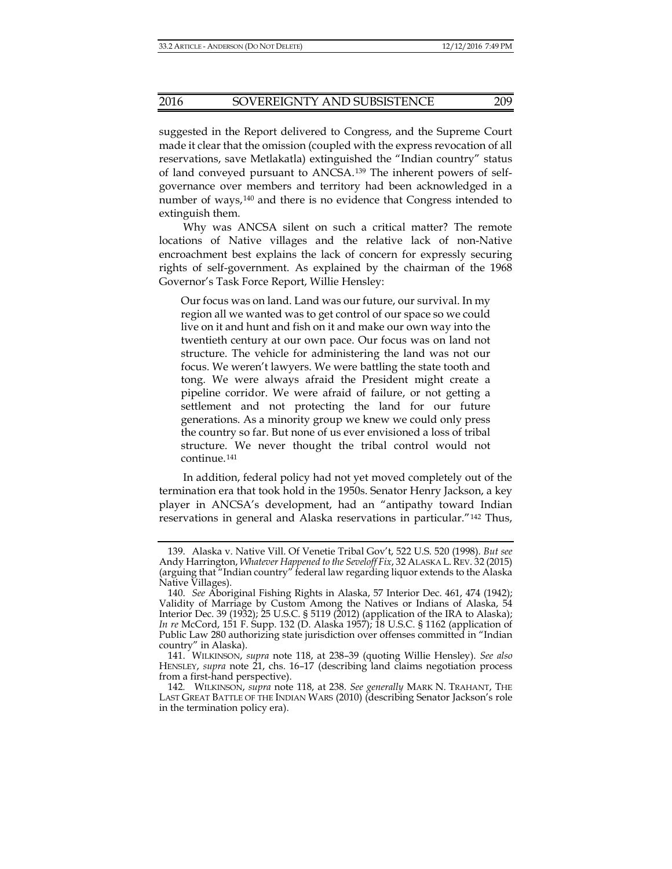suggested in the Report delivered to Congress, and the Supreme Court made it clear that the omission (coupled with the express revocation of all reservations, save Metlakatla) extinguished the "Indian country" status of land conveyed pursuant to ANCSA.[139](#page-22-4) The inherent powers of selfgovernance over members and territory had been acknowledged in a number of ways,[140](#page-22-5) and there is no evidence that Congress intended to extinguish them.

Why was ANCSA silent on such a critical matter? The remote locations of Native villages and the relative lack of non-Native encroachment best explains the lack of concern for expressly securing rights of self-government. As explained by the chairman of the 1968 Governor's Task Force Report, Willie Hensley:

Our focus was on land. Land was our future, our survival. In my region all we wanted was to get control of our space so we could live on it and hunt and fish on it and make our own way into the twentieth century at our own pace. Our focus was on land not structure. The vehicle for administering the land was not our focus. We weren't lawyers. We were battling the state tooth and tong. We were always afraid the President might create a pipeline corridor. We were afraid of failure, or not getting a settlement and not protecting the land for our future generations. As a minority group we knew we could only press the country so far. But none of us ever envisioned a loss of tribal structure. We never thought the tribal control would not continue.[141](#page-23-0)

In addition, federal policy had not yet moved completely out of the termination era that took hold in the 1950s. Senator Henry Jackson, a key player in ANCSA's development, had an "antipathy toward Indian reservations in general and Alaska reservations in particular."[142](#page-23-1) Thus,

<span id="page-22-0"></span><sup>139.</sup> Alaska v. Native Vill. Of Venetie Tribal Gov't, 522 U.S. 520 (1998). *But see* Andy Harrington, *Whatever Happened to the Seveloff Fix*, 32 ALASKA L.REV. 32 (2015) (arguing that "Indian country" federal law regarding liquor extends to the Alaska Native Villages).

<span id="page-22-4"></span><span id="page-22-3"></span><span id="page-22-2"></span><span id="page-22-1"></span><sup>140.</sup> *See* Aboriginal Fishing Rights in Alaska, 57 Interior Dec. 461, 474 (1942); Validity of Marriage by Custom Among the Natives or Indians of Alaska, 54 Interior Dec. 39 (1932); 25 U.S.C. § 5119 (2012) (application of the IRA to Alaska); *In re* McCord, 151 F. Supp. 132 (D. Alaska 1957); 18 U.S.C. § 1162 (application of Public Law 280 authorizing state jurisdiction over offenses committed in "Indian country" in Alaska).

<span id="page-22-5"></span><sup>141.</sup> WILKINSON, *supra* note [118,](#page-18-6) at 238–39 (quoting Willie Hensley). *See also* HENSLEY, *supra* note [21,](#page-5-7) chs. 16–17 (describing land claims negotiation process from a first-hand perspective).

<sup>142</sup>*.* WILKINSON, *supra* note [118,](#page-18-6) at 238. *See generally* MARK N. TRAHANT, THE LAST GREAT BATTLE OF THE INDIAN WARS (2010) (describing Senator Jackson's role in the termination policy era).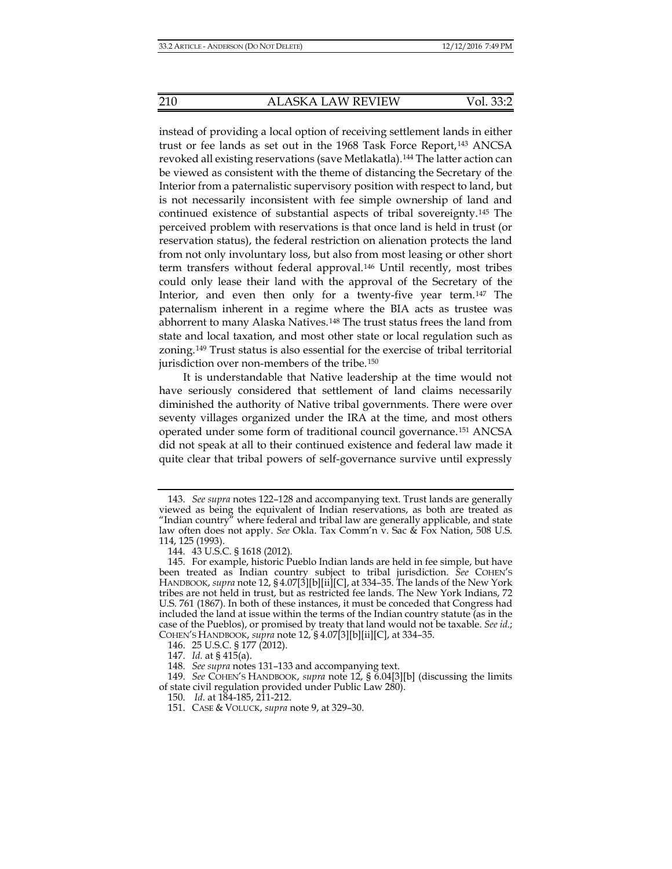instead of providing a local option of receiving settlement lands in either trust or fee lands as set out in the 1968 Task Force Report,[143](#page-23-2) ANCSA revoked all existing reservations (save Metlakatla).[144](#page-23-3) The latter action can be viewed as consistent with the theme of distancing the Secretary of the Interior from a paternalistic supervisory position with respect to land, but is not necessarily inconsistent with fee simple ownership of land and continued existence of substantial aspects of tribal sovereignty.[145](#page-23-4) The perceived problem with reservations is that once land is held in trust (or reservation status), the federal restriction on alienation protects the land from not only involuntary loss, but also from most leasing or other short term transfers without federal approval.[146](#page-24-0) Until recently, most tribes could only lease their land with the approval of the Secretary of the Interior, and even then only for a twenty-five year term.[147](#page-24-1) The paternalism inherent in a regime where the BIA acts as trustee was abhorrent to many Alaska Natives.[148](#page-24-2) The trust status frees the land from state and local taxation, and most other state or local regulation such as zoning.[149](#page-24-3) Trust status is also essential for the exercise of tribal territorial jurisdiction over non-members of the tribe.<sup>[150](#page-24-4)</sup>

It is understandable that Native leadership at the time would not have seriously considered that settlement of land claims necessarily diminished the authority of Native tribal governments. There were over seventy villages organized under the IRA at the time, and most others operated under some form of traditional council governance.[151](#page-24-5) ANCSA did not speak at all to their continued existence and federal law made it quite clear that tribal powers of self-governance survive until expressly

<span id="page-23-0"></span><sup>143.</sup> *See supra* notes [122–](#page-19-5)[128](#page-20-4) and accompanying text. Trust lands are generally viewed as being the equivalent of Indian reservations, as both are treated as "Indian country" where federal and tribal law are generally applicable, and state law often does not apply. *See* Okla. Tax Comm'n v. Sac & Fox Nation, 508 U.S. 114, 125 (1993).

<sup>144.</sup> 43 U.S.C. § 1618 (2012).

<span id="page-23-2"></span><span id="page-23-1"></span><sup>145.</sup> For example, historic Pueblo Indian lands are held in fee simple, but have been treated as Indian country subject to tribal jurisdiction. *See* COHEN'S HANDBOOK, *supra* note [12,](#page-3-0) § 4.07[3][b][ii][C], at 334–35. The lands of the New York tribes are not held in trust, but as restricted fee lands. The New York Indians, 72 U.S. 761 (1867). In both of these instances, it must be conceded that Congress had included the land at issue within the terms of the Indian country statute (as in the case of the Pueblos), or promised by treaty that land would not be taxable. *See id.*; COHEN'S HANDBOOK, *supra* note [12,](#page-3-0) § 4.07[3][b][ii][C], at 334–35.

<sup>146.</sup> 25 U.S.C. § 177 (2012).

<sup>147.</sup> *Id.* at § 415(a).

<sup>148.</sup> *See supra* note[s 131](#page-21-7)[–133](#page-21-8) and accompanying text.

<span id="page-23-4"></span><span id="page-23-3"></span><sup>149.</sup> *See* COHEN'S HANDBOOK, *supra* note [12,](#page-3-0) § 6.04[3][b] (discussing the limits of state civil regulation provided under Public Law 280).

<sup>150.</sup> *Id*. at 184-185, 211-212.

<sup>151.</sup> CASE & VOLUCK, *supra* note [9,](#page-2-7) at 329–30.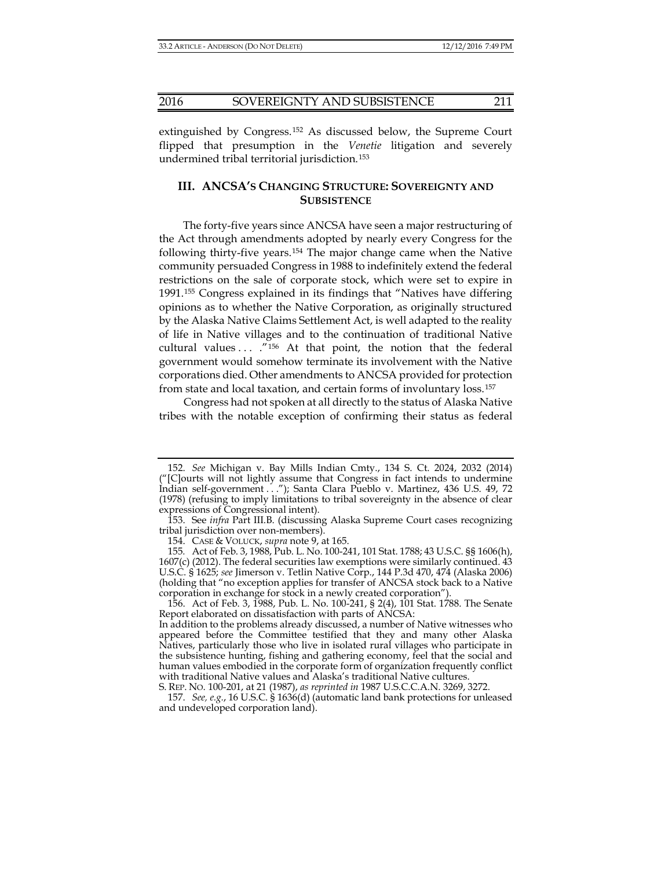extinguished by Congress.[152](#page-24-6) As discussed below, the Supreme Court flipped that presumption in the *Venetie* litigation and severely undermined tribal territorial jurisdiction.[153](#page-24-7)

## **III. ANCSA'S CHANGING STRUCTURE: SOVEREIGNTY AND SUBSISTENCE**

The forty-five years since ANCSA have seen a major restructuring of the Act through amendments adopted by nearly every Congress for the following thirty-five years.[154](#page-24-8) The major change came when the Native community persuaded Congress in 1988 to indefinitely extend the federal restrictions on the sale of corporate stock, which were set to expire in 1991.[155](#page-24-9) Congress explained in its findings that "Natives have differing opinions as to whether the Native Corporation, as originally structured by the Alaska Native Claims Settlement Act, is well adapted to the reality of life in Native villages and to the continuation of traditional Native cultural values ... ."<sup>[156](#page-25-0)</sup> At that point, the notion that the federal government would somehow terminate its involvement with the Native corporations died. Other amendments to ANCSA provided for protection from state and local taxation, and certain forms of involuntary loss.[157](#page-25-1)

Congress had not spoken at all directly to the status of Alaska Native tribes with the notable exception of confirming their status as federal

<span id="page-24-5"></span><span id="page-24-4"></span>156. Act of Feb. 3, 1988, Pub. L. No. 100-241, § 2(4), 101 Stat. 1788. The Senate Report elaborated on dissatisfaction with parts of ANCSA:

<sup>152.</sup> *See* Michigan v. Bay Mills Indian Cmty., 134 S. Ct. 2024, 2032 (2014) ("[C]ourts will not lightly assume that Congress in fact intends to undermine Indian self-government . . ."); Santa Clara Pueblo v. Martinez, 436 U.S. 49, 72 (1978) (refusing to imply limitations to tribal sovereignty in the absence of clear expressions of Congressional intent).

<sup>153.</sup> See *infra* Part III.B. (discussing Alaska Supreme Court cases recognizing tribal jurisdiction over non-members).

<sup>154.</sup> CASE & VOLUCK, *supra* note [9,](#page-2-7) at 165.

<span id="page-24-3"></span><span id="page-24-2"></span><span id="page-24-1"></span><span id="page-24-0"></span><sup>155</sup>*.* Act of Feb. 3, 1988, Pub. L. No. 100-241, 101 Stat. 1788; 43 U.S.C. §§ 1606(h), 1607(c) (2012). The federal securities law exemptions were similarly continued. 43 U.S.C. § 1625; *see* Jimerson v. Tetlin Native Corp., 144 P.3d 470, 474 (Alaska 2006) (holding that "no exception applies for transfer of ANCSA stock back to a Native corporation in exchange for stock in a newly created corporation").

<span id="page-24-6"></span>In addition to the problems already discussed, a number of Native witnesses who appeared before the Committee testified that they and many other Alaska Natives, particularly those who live in isolated rural villages who participate in the subsistence hunting, fishing and gathering economy, feel that the social and human values embodied in the corporate form of organization frequently conflict with traditional Native values and Alaska's traditional Native cultures.

<span id="page-24-9"></span><span id="page-24-8"></span><span id="page-24-7"></span>S. REP. NO. 100-201, at 21 (1987), *as reprinted in* 1987 U.S.C.C.A.N. 3269, 3272.

<sup>157.</sup> *See, e.g.*, 16 U.S.C. § 1636(d) (automatic land bank protections for unleased and undeveloped corporation land).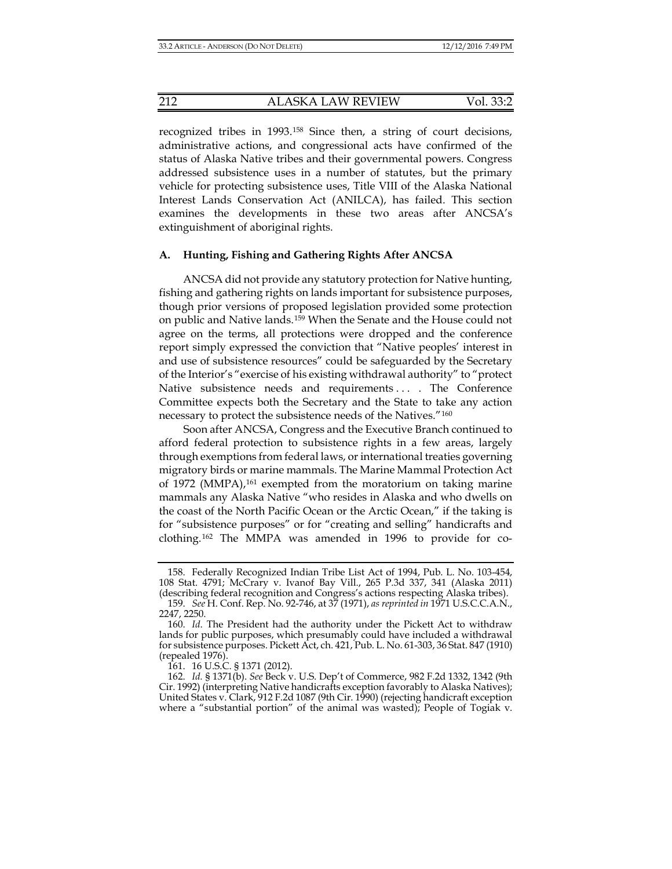recognized tribes in 1993.[158](#page-25-2) Since then, a string of court decisions, administrative actions, and congressional acts have confirmed of the status of Alaska Native tribes and their governmental powers. Congress addressed subsistence uses in a number of statutes, but the primary vehicle for protecting subsistence uses, Title VIII of the Alaska National Interest Lands Conservation Act (ANILCA), has failed. This section examines the developments in these two areas after ANCSA's extinguishment of aboriginal rights.

#### **A. Hunting, Fishing and Gathering Rights After ANCSA**

ANCSA did not provide any statutory protection for Native hunting, fishing and gathering rights on lands important for subsistence purposes, though prior versions of proposed legislation provided some protection on public and Native lands.[159](#page-25-3) When the Senate and the House could not agree on the terms, all protections were dropped and the conference report simply expressed the conviction that "Native peoples' interest in and use of subsistence resources" could be safeguarded by the Secretary of the Interior's "exercise of his existing withdrawal authority" to "protect Native subsistence needs and requirements ... The Conference Committee expects both the Secretary and the State to take any action necessary to protect the subsistence needs of the Natives."[160](#page-26-0)

Soon after ANCSA, Congress and the Executive Branch continued to afford federal protection to subsistence rights in a few areas, largely through exemptions from federal laws, or international treaties governing migratory birds or marine mammals. The Marine Mammal Protection Act of 1972 (MMPA), $161$  exempted from the moratorium on taking marine mammals any Alaska Native "who resides in Alaska and who dwells on the coast of the North Pacific Ocean or the Arctic Ocean," if the taking is for "subsistence purposes" or for "creating and selling" handicrafts and clothing.[162](#page-26-2) The MMPA was amended in 1996 to provide for co-

161. 16 U.S.C. § 1371 (2012).

<span id="page-25-0"></span><sup>158.</sup> Federally Recognized Indian Tribe List Act of 1994, Pub. L. No. 103-454, 108 Stat. 4791; McCrary v. Ivanof Bay Vill., 265 P.3d 337, 341 (Alaska 2011) (describing federal recognition and Congress's actions respecting Alaska tribes).

<sup>159.</sup> *See* H. Conf. Rep. No. 92-746, at 37 (1971), *as reprinted in* 1971 U.S.C.C.A.N., 2247, 2250.

<span id="page-25-1"></span><sup>160.</sup> *Id*. The President had the authority under the Pickett Act to withdraw lands for public purposes, which presumably could have included a withdrawal for subsistence purposes. Pickett Act, ch. 421, Pub. L. No. 61-303, 36 Stat. 847 (1910) (repealed 1976).

<span id="page-25-3"></span><span id="page-25-2"></span><sup>162.</sup> *Id.* § 1371(b). *See* Beck v. U.S. Dep't of Commerce, 982 F.2d 1332, 1342 (9th Cir. 1992) (interpreting Native handicrafts exception favorably to Alaska Natives); United States v. Clark, 912 F.2d 1087 (9th Cir. 1990) (rejecting handicraft exception where a "substantial portion" of the animal was wasted); People of Togiak v.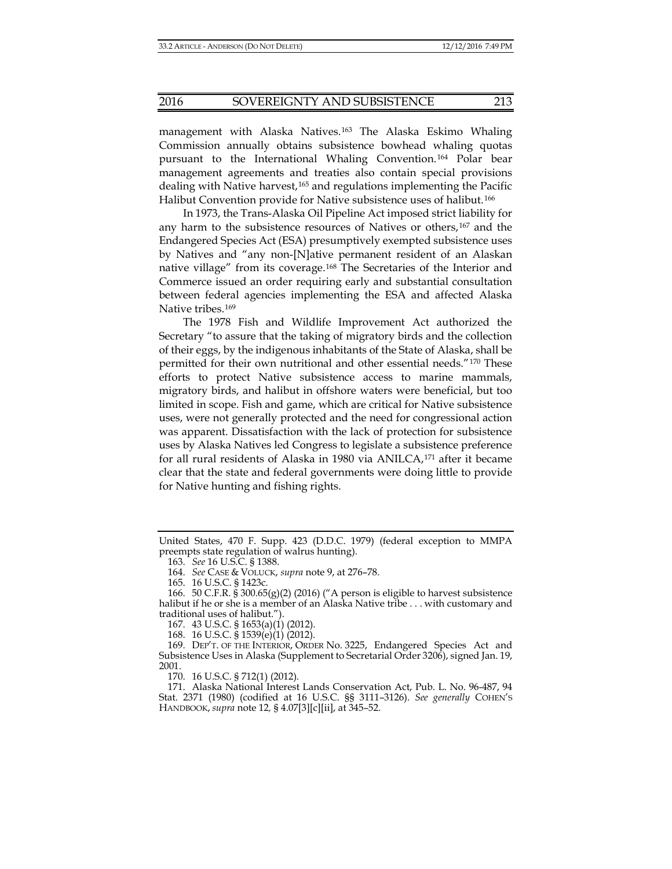management with Alaska Natives.<sup>[163](#page-26-3)</sup> The Alaska Eskimo Whaling Commission annually obtains subsistence bowhead whaling quotas pursuant to the International Whaling Convention.[164](#page-26-4) Polar bear management agreements and treaties also contain special provisions dealing with Native harvest,<sup>[165](#page-26-5)</sup> and regulations implementing the Pacific Halibut Convention provide for Native subsistence uses of halibut.<sup>[166](#page-26-6)</sup>

In 1973, the Trans-Alaska Oil Pipeline Act imposed strict liability for any harm to the subsistence resources of Natives or others,[167](#page-26-7) and the Endangered Species Act (ESA) presumptively exempted subsistence uses by Natives and "any non-[N]ative permanent resident of an Alaskan native village" from its coverage.[168](#page-26-8) The Secretaries of the Interior and Commerce issued an order requiring early and substantial consultation between federal agencies implementing the ESA and affected Alaska Native tribes.<sup>[169](#page-27-0)</sup>

The 1978 Fish and Wildlife Improvement Act authorized the Secretary "to assure that the taking of migratory birds and the collection of their eggs, by the indigenous inhabitants of the State of Alaska, shall be permitted for their own nutritional and other essential needs."[170](#page-27-1) These efforts to protect Native subsistence access to marine mammals, migratory birds, and halibut in offshore waters were beneficial, but too limited in scope. Fish and game, which are critical for Native subsistence uses, were not generally protected and the need for congressional action was apparent. Dissatisfaction with the lack of protection for subsistence uses by Alaska Natives led Congress to legislate a subsistence preference for all rural residents of Alaska in 1980 via ANILCA,[171](#page-27-2) after it became clear that the state and federal governments were doing little to provide for Native hunting and fishing rights.

<span id="page-26-1"></span><span id="page-26-0"></span>United States, 470 F. Supp. 423 (D.D.C. 1979) (federal exception to MMPA preempts state regulation of walrus hunting).

<sup>163.</sup> *See* 16 U.S.C. § 1388.

<sup>164.</sup> *See* CASE & VOLUCK, *supra* note [9,](#page-2-7) at 276–78.

<sup>165.</sup> 16 U.S.C. § 1423c.

<span id="page-26-2"></span><sup>166.</sup> 50 C.F.R. § 300.65(g)(2) (2016) ("A person is eligible to harvest subsistence halibut if he or she is a member of an Alaska Native tribe . . . with customary and traditional uses of halibut.").

<sup>167.</sup> 43 U.S.C. § 1653(a)(1) (2012).

<sup>168.</sup> 16 U.S.C. § 1539(e)(1) (2012).

<span id="page-26-6"></span><span id="page-26-5"></span><span id="page-26-4"></span><span id="page-26-3"></span><sup>169.</sup> DEP'T. OF THE INTERIOR, ORDER No. 3225, Endangered Species Act and Subsistence Uses in Alaska (Supplement to Secretarial Order 3206), signed Jan. 19, 2001.

<sup>170.</sup> 16 U.S.C. § 712(1) (2012).

<span id="page-26-8"></span><span id="page-26-7"></span><sup>171.</sup> Alaska National Interest Lands Conservation Act, Pub. L. No. 96-487, 94 Stat. 2371 (1980) (codified at 16 U.S.C. §§ 3111–3126). *See generally* COHEN'S HANDBOOK, *supra* note [12](#page-3-0)*,* § 4.07[3][c][ii], at 345–52.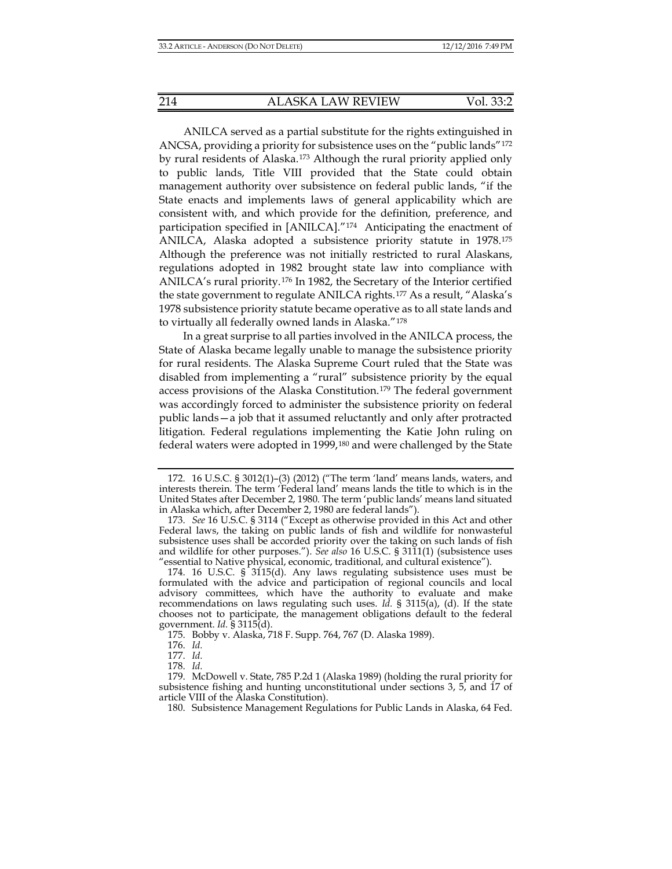ANILCA served as a partial substitute for the rights extinguished in ANCSA, providing a priority for subsistence uses on the "public lands"[172](#page-27-3) by rural residents of Alaska.[173](#page-27-4) Although the rural priority applied only to public lands, Title VIII provided that the State could obtain management authority over subsistence on federal public lands, "if the State enacts and implements laws of general applicability which are consistent with, and which provide for the definition, preference, and participation specified in [ANILCA]."[174](#page-27-5) Anticipating the enactment of ANILCA, Alaska adopted a subsistence priority statute in 1978.[175](#page-28-0) Although the preference was not initially restricted to rural Alaskans, regulations adopted in 1982 brought state law into compliance with ANILCA's rural priority.[176](#page-28-1) In 1982, the Secretary of the Interior certified the state government to regulate ANILCA rights.[177](#page-28-2) As a result, "Alaska's 1978 subsistence priority statute became operative as to all state lands and to virtually all federally owned lands in Alaska."[178](#page-28-3)

In a great surprise to all parties involved in the ANILCA process, the State of Alaska became legally unable to manage the subsistence priority for rural residents. The Alaska Supreme Court ruled that the State was disabled from implementing a "rural" subsistence priority by the equal access provisions of the Alaska Constitution.[179](#page-28-4) The federal government was accordingly forced to administer the subsistence priority on federal public lands—a job that it assumed reluctantly and only after protracted litigation. Federal regulations implementing the Katie John ruling on federal waters were adopted in 1999,[180](#page-28-5) and were challenged by the State

180. Subsistence Management Regulations for Public Lands in Alaska, 64 Fed.

<span id="page-27-0"></span><sup>172.</sup> 16 U.S.C. § 3012(1)–(3) (2012) ("The term 'land' means lands, waters, and interests therein. The term 'Federal land' means lands the title to which is in the United States after December 2, 1980. The term 'public lands' means land situated in Alaska which, after December 2, 1980 are federal lands").

<span id="page-27-2"></span><span id="page-27-1"></span><sup>173.</sup> *See* 16 U.S.C. § 3114 ("Except as otherwise provided in this Act and other Federal laws, the taking on public lands of fish and wildlife for nonwasteful subsistence uses shall be accorded priority over the taking on such lands of fish and wildlife for other purposes."). *See also* 16 U.S.C. § 3111(1) (subsistence uses "essential to Native physical, economic, traditional, and cultural existence").

<span id="page-27-4"></span><span id="page-27-3"></span><sup>174.</sup> 16 U.S.C. § 3115(d). Any laws regulating subsistence uses must be formulated with the advice and participation of regional councils and local advisory committees, which have the authority to evaluate and make recommendations on laws regulating such uses. *Id.* § 3115(a), (d). If the state chooses not to participate, the management obligations default to the federal government. *Id.* § 3115(d).

<sup>175.</sup> Bobby v. Alaska, 718 F. Supp. 764, 767 (D. Alaska 1989).

<sup>176.</sup> *Id.*

<sup>177.</sup> *Id.*

<sup>178.</sup> *Id.*

<span id="page-27-5"></span><sup>179.</sup> McDowell v. State, 785 P.2d 1 (Alaska 1989) (holding the rural priority for subsistence fishing and hunting unconstitutional under sections 3, 5, and 17 of article VIII of the Alaska Constitution).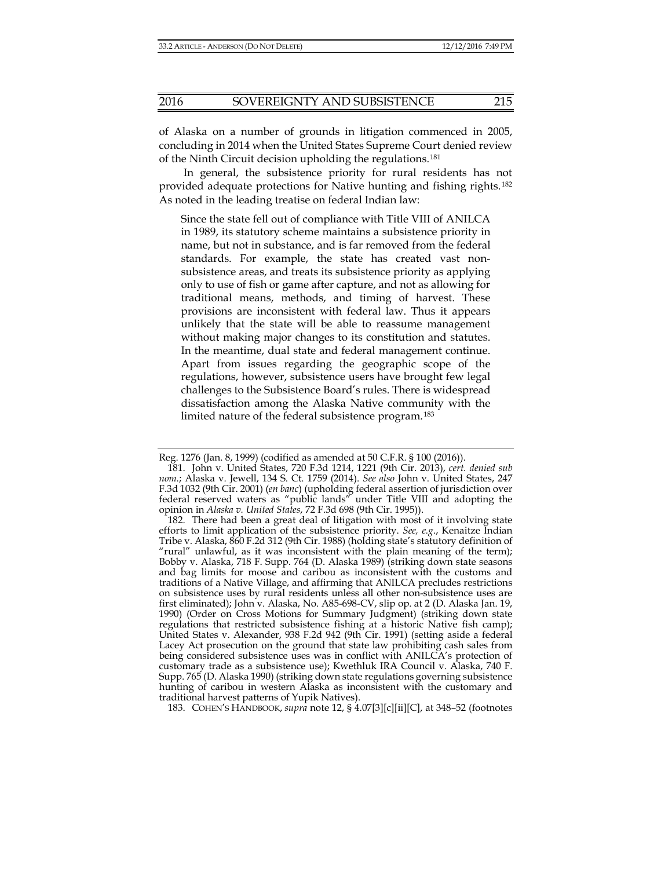of Alaska on a number of grounds in litigation commenced in 2005, concluding in 2014 when the United States Supreme Court denied review of the Ninth Circuit decision upholding the regulations.[181](#page-28-6)

In general, the subsistence priority for rural residents has not provided adequate protections for Native hunting and fishing rights.[182](#page-28-7) As noted in the leading treatise on federal Indian law:

Since the state fell out of compliance with Title VIII of ANILCA in 1989, its statutory scheme maintains a subsistence priority in name, but not in substance, and is far removed from the federal standards. For example, the state has created vast nonsubsistence areas, and treats its subsistence priority as applying only to use of fish or game after capture, and not as allowing for traditional means, methods, and timing of harvest. These provisions are inconsistent with federal law. Thus it appears unlikely that the state will be able to reassume management without making major changes to its constitution and statutes. In the meantime, dual state and federal management continue. Apart from issues regarding the geographic scope of the regulations, however, subsistence users have brought few legal challenges to the Subsistence Board's rules. There is widespread dissatisfaction among the Alaska Native community with the limited nature of the federal subsistence program.<sup>[183](#page-29-0)</sup>

Reg. 1276 (Jan. 8, 1999) (codified as amended at 50 C.F.R. § 100 (2016)).

<span id="page-28-2"></span><span id="page-28-1"></span><span id="page-28-0"></span><sup>181.</sup> John v. United States, 720 F.3d 1214, 1221 (9th Cir. 2013), *cert. denied sub nom.*; Alaska v. Jewell, 134 S. Ct. 1759 (2014). *See also* John v. United States, 247 F.3d 1032 (9th Cir. 2001) (*en banc*) (upholding federal assertion of jurisdiction over federal reserved waters as "public lands" under Title VIII and adopting the opinion in *Alaska v. United States*, 72 F.3d 698 (9th Cir. 1995)).

<span id="page-28-7"></span><span id="page-28-6"></span><span id="page-28-5"></span><span id="page-28-4"></span><span id="page-28-3"></span><sup>182.</sup> There had been a great deal of litigation with most of it involving state efforts to limit application of the subsistence priority. *See, e.g*., Kenaitze Indian Tribe v. Alaska, 860 F.2d 312 (9th Cir. 1988) (holding state's statutory definition of "rural" unlawful, as it was inconsistent with the plain meaning of the term); Bobby v. Alaska, 718 F. Supp. 764 (D. Alaska 1989) (striking down state seasons and bag limits for moose and caribou as inconsistent with the customs and traditions of a Native Village, and affirming that ANILCA precludes restrictions on subsistence uses by rural residents unless all other non-subsistence uses are first eliminated); John v. Alaska, No. A85-698-CV, slip op. at 2 (D. Alaska Jan. 19, 1990) (Order on Cross Motions for Summary Judgment) (striking down state regulations that restricted subsistence fishing at a historic Native fish camp); United States v. Alexander, 938 F.2d 942 (9th Cir. 1991) (setting aside a federal Lacey Act prosecution on the ground that state law prohibiting cash sales from being considered subsistence uses was in conflict with ANILCA's protection of customary trade as a subsistence use); Kwethluk IRA Council v. Alaska, 740 F. Supp. 765 (D. Alaska 1990) (striking down state regulations governing subsistence hunting of caribou in western Alaska as inconsistent with the customary and traditional harvest patterns of Yupik Natives).

<sup>183.</sup> COHEN'S HANDBOOK, *supra* note [12,](#page-3-0) § 4.07[3][c][ii][C], at 348–52 (footnotes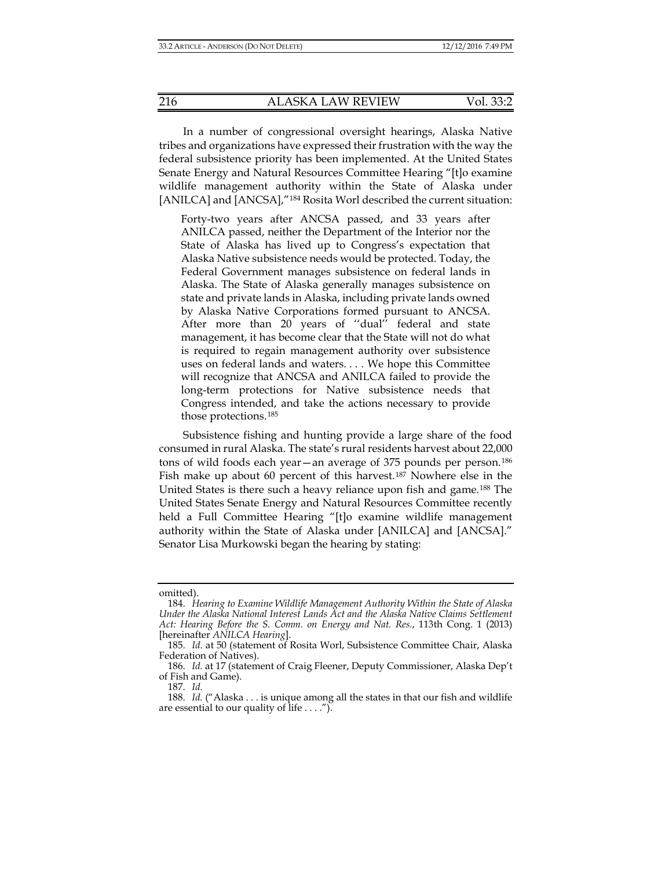In a number of congressional oversight hearings, Alaska Native tribes and organizations have expressed their frustration with the way the federal subsistence priority has been implemented. At the United States Senate Energy and Natural Resources Committee Hearing "[t]o examine wildlife management authority within the State of Alaska under [ANILCA] and [ANCSA],"<sup>[184](#page-29-1)</sup> Rosita Worl described the current situation:

<span id="page-29-2"></span>Forty-two years after ANCSA passed, and 33 years after ANILCA passed, neither the Department of the Interior nor the State of Alaska has lived up to Congress's expectation that Alaska Native subsistence needs would be protected. Today, the Federal Government manages subsistence on federal lands in Alaska. The State of Alaska generally manages subsistence on state and private lands in Alaska, including private lands owned by Alaska Native Corporations formed pursuant to ANCSA. After more than 20 years of ''dual'' federal and state management, it has become clear that the State will not do what is required to regain management authority over subsistence uses on federal lands and waters. . . . We hope this Committee will recognize that ANCSA and ANILCA failed to provide the long-term protections for Native subsistence needs that Congress intended, and take the actions necessary to provide those protections.[185](#page-30-0)

Subsistence fishing and hunting provide a large share of the food consumed in rural Alaska. The state's rural residents harvest about 22,000 tons of wild foods each year—an average of 375 pounds per person.[186](#page-30-1) Fish make up about 60 percent of this harvest.[187](#page-30-2) Nowhere else in the United States is there such a heavy reliance upon fish and game.<sup>[188](#page-30-3)</sup> The United States Senate Energy and Natural Resources Committee recently held a Full Committee Hearing "[t]o examine wildlife management authority within the State of Alaska under [ANILCA] and [ANCSA]." Senator Lisa Murkowski began the hearing by stating:

187. *Id.*

omitted).

<sup>184.</sup> *Hearing to Examine Wildlife Management Authority Within the State of Alaska Under the Alaska National Interest Lands Act and the Alaska Native Claims Settlement Act: Hearing Before the S. Comm. on Energy and Nat. Res.*, 113th Cong. 1 (2013) [hereinafter *ANILCA Hearing*].

<sup>185.</sup> *Id*. at 50 (statement of Rosita Worl, Subsistence Committee Chair, Alaska Federation of Natives).

<span id="page-29-1"></span><span id="page-29-0"></span><sup>186.</sup> *Id.* at 17 (statement of Craig Fleener, Deputy Commissioner, Alaska Dep't of Fish and Game).

<sup>188.</sup> *Id.* ("Alaska . . . is unique among all the states in that our fish and wildlife are essential to our quality of life  $\dots$ .").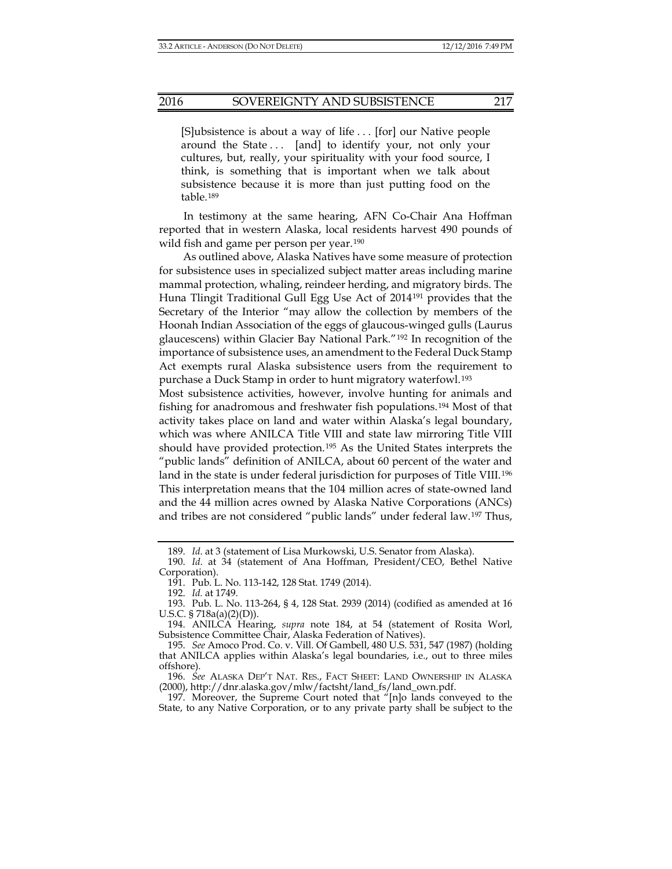[S]ubsistence is about a way of life . . . [for] our Native people around the State ... [and] to identify your, not only your cultures, but, really, your spirituality with your food source, I think, is something that is important when we talk about subsistence because it is more than just putting food on the table.[189](#page-30-4)

In testimony at the same hearing, AFN Co-Chair Ana Hoffman reported that in western Alaska, local residents harvest 490 pounds of wild fish and game per person per year.<sup>[190](#page-30-5)</sup>

As outlined above, Alaska Natives have some measure of protection for subsistence uses in specialized subject matter areas including marine mammal protection, whaling, reindeer herding, and migratory birds. The Huna Tlingit Traditional Gull Egg Use Act of 2014[191](#page-30-6) provides that the Secretary of the Interior "may allow the collection by members of the Hoonah Indian Association of the eggs of glaucous-winged gulls (Laurus glaucescens) within Glacier Bay National Park."[192](#page-31-0) In recognition of the importance of subsistence uses, an amendment to the Federal Duck Stamp Act exempts rural Alaska subsistence users from the requirement to purchase a Duck Stamp in order to hunt migratory waterfowl.[193](#page-31-1)

Most subsistence activities, however, involve hunting for animals and fishing for anadromous and freshwater fish populations.[194](#page-31-2) Most of that activity takes place on land and water within Alaska's legal boundary, which was where ANILCA Title VIII and state law mirroring Title VIII should have provided protection.[195](#page-31-3) As the United States interprets the "public lands" definition of ANILCA, about 60 percent of the water and land in the state is under federal jurisdiction for purposes of Title VIII.<sup>[196](#page-31-4)</sup> This interpretation means that the 104 million acres of state-owned land and the 44 million acres owned by Alaska Native Corporations (ANCs) and tribes are not considered "public lands" under federal law.[197](#page-31-5) Thus,

<sup>189.</sup> *Id*. at 3 (statement of Lisa Murkowski, U.S. Senator from Alaska).

<sup>190.</sup> *Id*. at 34 (statement of Ana Hoffman, President/CEO, Bethel Native Corporation).

<sup>191.</sup> Pub. L. No. 113-142, 128 Stat. 1749 (2014).

<sup>192.</sup> *Id.* at 1749.

<span id="page-30-0"></span><sup>193.</sup> Pub. L. No. 113-264, § 4, 128 Stat. 2939 (2014) (codified as amended at 16 U.S.C. § 718a(a)(2)(D)).

<span id="page-30-1"></span><sup>194.</sup> ANILCA Hearing, *supra* note [184,](#page-29-2) at 54 (statement of Rosita Worl, Subsistence Committee Chair, Alaska Federation of Natives).

<span id="page-30-3"></span><span id="page-30-2"></span><sup>195.</sup> *See* Amoco Prod. Co. v. Vill. Of Gambell, 480 U.S. 531, 547 (1987) (holding that ANILCA applies within Alaska's legal boundaries, i.e., out to three miles offshore).

<span id="page-30-4"></span><sup>196.</sup> *See* ALASKA DEP'T NAT. RES., FACT SHEET: LAND OWNERSHIP IN ALASKA (2000), http://dnr.alaska.gov/mlw/factsht/land\_fs/land\_own.pdf.

<span id="page-30-6"></span><span id="page-30-5"></span><sup>197.</sup> Moreover, the Supreme Court noted that "[n]o lands conveyed to the State, to any Native Corporation, or to any private party shall be subject to the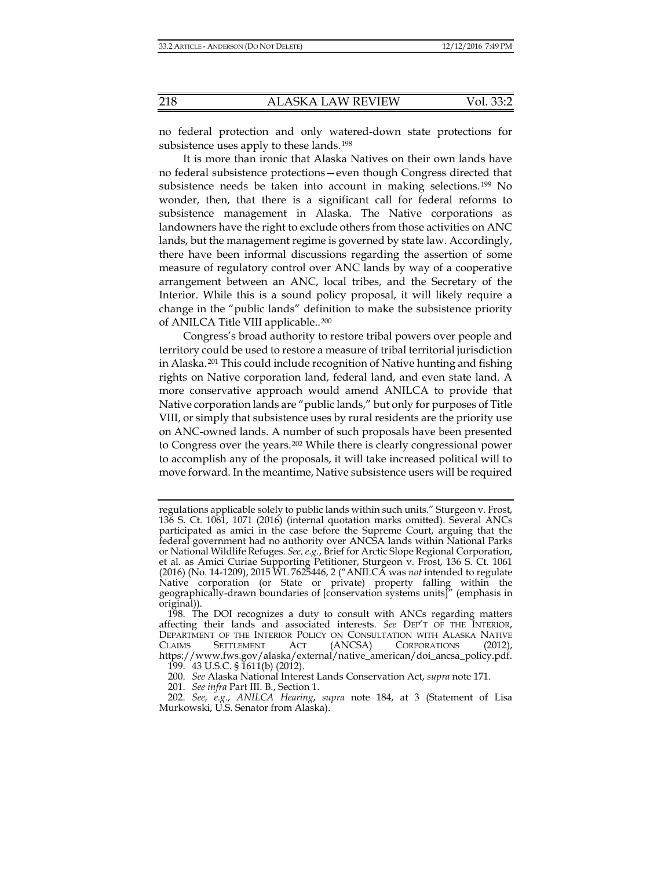no federal protection and only watered-down state protections for subsistence uses apply to these lands.<sup>[198](#page-31-6)</sup>

It is more than ironic that Alaska Natives on their own lands have no federal subsistence protections—even though Congress directed that subsistence needs be taken into account in making selections.[199](#page-32-0) No wonder, then, that there is a significant call for federal reforms to subsistence management in Alaska. The Native corporations as landowners have the right to exclude others from those activities on ANC lands, but the management regime is governed by state law. Accordingly, there have been informal discussions regarding the assertion of some measure of regulatory control over ANC lands by way of a cooperative arrangement between an ANC, local tribes, and the Secretary of the Interior. While this is a sound policy proposal, it will likely require a change in the "public lands" definition to make the subsistence priority of ANILCA Title VIII applicable..[200](#page-32-1)

Congress's broad authority to restore tribal powers over people and territory could be used to restore a measure of tribal territorial jurisdiction in Alaska.[201](#page-32-2) This could include recognition of Native hunting and fishing rights on Native corporation land, federal land, and even state land. A more conservative approach would amend ANILCA to provide that Native corporation lands are "public lands," but only for purposes of Title VIII, or simply that subsistence uses by rural residents are the priority use on ANC-owned lands. A number of such proposals have been presented to Congress over the years.[202](#page-32-3) While there is clearly congressional power to accomplish any of the proposals, it will take increased political will to move forward. In the meantime, Native subsistence users will be required

<span id="page-31-5"></span><span id="page-31-4"></span><span id="page-31-3"></span><span id="page-31-2"></span><span id="page-31-1"></span><span id="page-31-0"></span>regulations applicable solely to public lands within such units." Sturgeon v. Frost, 136 S. Ct. 1061, 1071 (2016) (internal quotation marks omitted). Several ANCs participated as amici in the case before the Supreme Court, arguing that the federal government had no authority over ANCSA lands within National Parks or National Wildlife Refuges. *See, e.g.*, Brief for Arctic Slope Regional Corporation, et al. as Amici Curiae Supporting Petitioner, Sturgeon v. Frost, 136 S. Ct. 1061 (2016) (No. 14-1209), 2015 WL 7625446, 2 ("ANILCA was *not* intended to regulate Native corporation (or State or private) property falling within the geographically-drawn boundaries of [conservation systems units]" (emphasis in original)).

<sup>198.</sup> The DOI recognizes a duty to consult with ANCs regarding matters affecting their lands and associated interests. *See* DEP'T OF THE INTERIOR, DEPARTMENT OF THE INTERIOR POLICY ON CONSULTATION WITH ALASKA NATIVE CLAIMS SETTLEMENT ACT (ANCSA) CORPORATIONS (2012), CLAIMS SETTLEMENT ACT (ANCSA) CORPORATIONS (2012), https://www.fws.gov/alaska/external/native\_american/doi\_ancsa\_policy.pdf. 199. 43 U.S.C. § 1611(b) (2012).

<sup>200.</sup> *See* Alaska National Interest Lands Conservation Act, *supra* note 171.

<sup>201.</sup> *See infra* Part III. B., Section 1.

<span id="page-31-6"></span><sup>202.</sup> *See, e.g.*, *ANILCA Hearing*, *supra* note [184,](#page-29-2) at 3 (Statement of Lisa Murkowski, U.S. Senator from Alaska).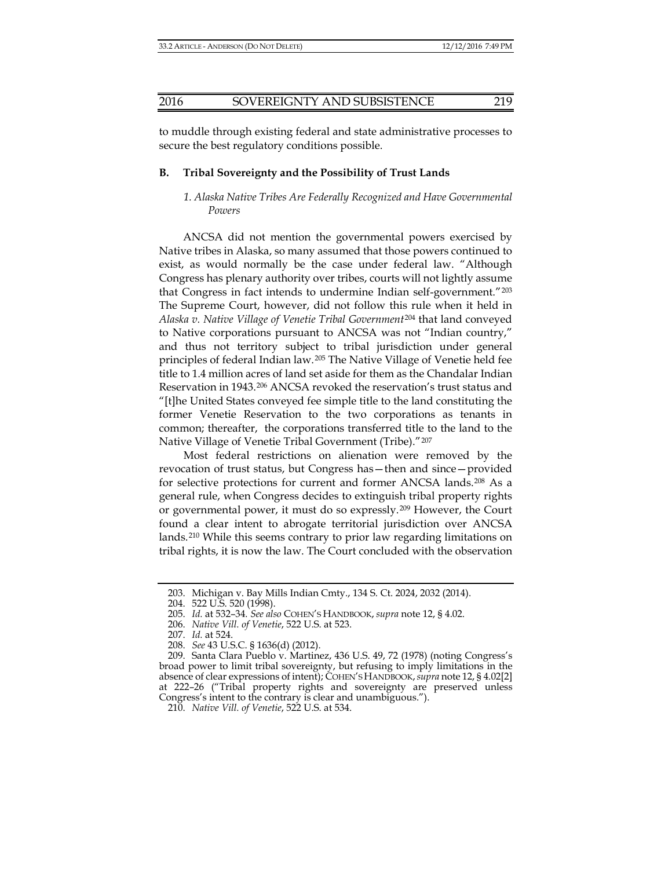to muddle through existing federal and state administrative processes to secure the best regulatory conditions possible.

#### **B. Tribal Sovereignty and the Possibility of Trust Lands**

#### *1. Alaska Native Tribes Are Federally Recognized and Have Governmental Powers*

ANCSA did not mention the governmental powers exercised by Native tribes in Alaska, so many assumed that those powers continued to exist, as would normally be the case under federal law. "Although Congress has plenary authority over tribes, courts will not lightly assume that Congress in fact intends to undermine Indian self-government."[203](#page-32-4) The Supreme Court, however, did not follow this rule when it held in *Alaska v. Native Village of Venetie Tribal Government*[204](#page-33-0) that land conveyed to Native corporations pursuant to ANCSA was not "Indian country," and thus not territory subject to tribal jurisdiction under general principles of federal Indian law.[205](#page-33-1) The Native Village of Venetie held fee title to 1.4 million acres of land set aside for them as the Chandalar Indian Reservation in 1943.[206](#page-33-2) ANCSA revoked the reservation's trust status and "[t]he United States conveyed fee simple title to the land constituting the former Venetie Reservation to the two corporations as tenants in common; thereafter, the corporations transferred title to the land to the Native Village of Venetie Tribal Government (Tribe)."[207](#page-33-3)

Most federal restrictions on alienation were removed by the revocation of trust status, but Congress has—then and since—provided for selective protections for current and former ANCSA lands.[208](#page-33-4) As a general rule, when Congress decides to extinguish tribal property rights or governmental power, it must do so expressly.[209](#page-33-5) However, the Court found a clear intent to abrogate territorial jurisdiction over ANCSA lands.[210](#page-33-6) While this seems contrary to prior law regarding limitations on tribal rights, it is now the law. The Court concluded with the observation

<sup>203.</sup> Michigan v. Bay Mills Indian Cmty., 134 S. Ct. 2024, 2032 (2014).

<sup>204.</sup> 522 U.S. 520 (1998).

<sup>205.</sup> *Id.* at 532–34*. See also* COHEN'S HANDBOOK, *supra* not[e 12,](#page-3-0) § 4.02.

<sup>206.</sup> *Native Vill. of Venetie*, 522 U.S. at 523.

<sup>207.</sup> *Id.* at 524.

<sup>208.</sup> *See* 43 U.S.C. § 1636(d) (2012).

<span id="page-32-3"></span><span id="page-32-2"></span><span id="page-32-1"></span><span id="page-32-0"></span><sup>209.</sup> Santa Clara Pueblo v. Martinez, 436 U.S. 49, 72 (1978) (noting Congress's broad power to limit tribal sovereignty, but refusing to imply limitations in the absence of clear expressions of intent); COHEN'S HANDBOOK,*supra* not[e 12,](#page-3-0) § 4.02[2] at 222–26 ("Tribal property rights and sovereignty are preserved unless Congress's intent to the contrary is clear and unambiguous.").

<span id="page-32-4"></span><sup>210.</sup> *Native Vill. of Venetie*, 522 U.S. at 534.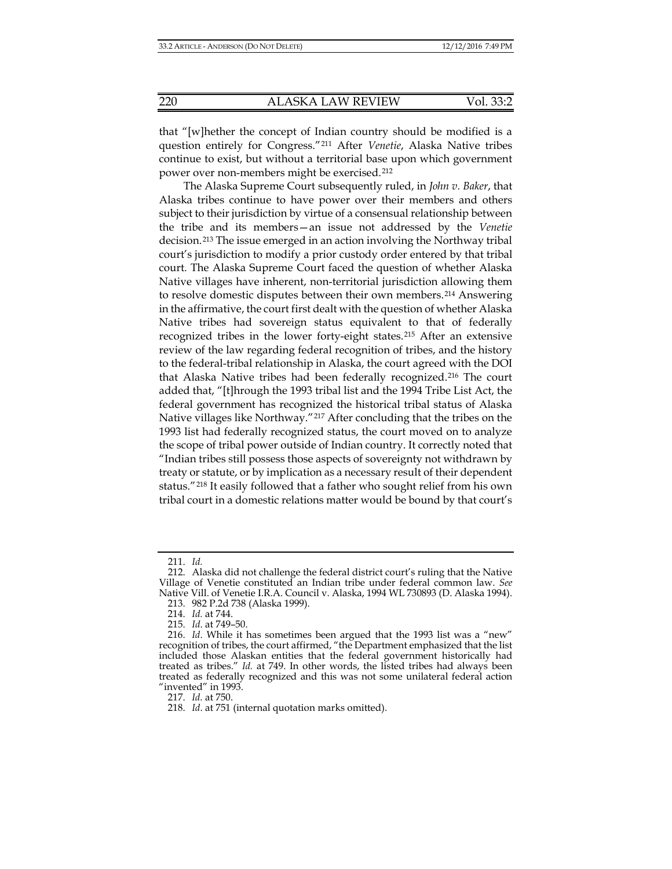that "[w]hether the concept of Indian country should be modified is a question entirely for Congress."[211](#page-33-7) After *Venetie*, Alaska Native tribes continue to exist, but without a territorial base upon which government power over non-members might be exercised.[212](#page-33-8)

The Alaska Supreme Court subsequently ruled, in *John v. Baker*, that Alaska tribes continue to have power over their members and others subject to their jurisdiction by virtue of a consensual relationship between the tribe and its members—an issue not addressed by the *Venetie* decision.[213](#page-33-9) The issue emerged in an action involving the Northway tribal court's jurisdiction to modify a prior custody order entered by that tribal court. The Alaska Supreme Court faced the question of whether Alaska Native villages have inherent, non-territorial jurisdiction allowing them to resolve domestic disputes between their own members.[214](#page-34-0) Answering in the affirmative, the court first dealt with the question of whether Alaska Native tribes had sovereign status equivalent to that of federally recognized tribes in the lower forty-eight states.[215](#page-34-1) After an extensive review of the law regarding federal recognition of tribes, and the history to the federal-tribal relationship in Alaska, the court agreed with the DOI that Alaska Native tribes had been federally recognized.[216](#page-34-2) The court added that, "[t]hrough the 1993 tribal list and the 1994 Tribe List Act, the federal government has recognized the historical tribal status of Alaska Native villages like Northway."[217](#page-34-3) After concluding that the tribes on the 1993 list had federally recognized status, the court moved on to analyze the scope of tribal power outside of Indian country. It correctly noted that "Indian tribes still possess those aspects of sovereignty not withdrawn by treaty or statute, or by implication as a necessary result of their dependent status."[218](#page-34-4) It easily followed that a father who sought relief from his own tribal court in a domestic relations matter would be bound by that court's

217. *Id.* at 750.

<sup>211.</sup> *Id.*

<span id="page-33-4"></span><span id="page-33-3"></span><span id="page-33-2"></span><span id="page-33-1"></span><span id="page-33-0"></span><sup>212.</sup> Alaska did not challenge the federal district court's ruling that the Native Village of Venetie constituted an Indian tribe under federal common law. *See* Native Vill. of Venetie I.R.A. Council v. Alaska, 1994 WL 730893 (D. Alaska 1994).

<sup>213.</sup> 982 P.2d 738 (Alaska 1999).

<sup>214.</sup> *Id.* at 744.

<sup>215.</sup> *Id*. at 749–50.

<span id="page-33-8"></span><span id="page-33-7"></span><span id="page-33-6"></span><span id="page-33-5"></span><sup>216.</sup> *Id*. While it has sometimes been argued that the 1993 list was a "new" recognition of tribes, the court affirmed, "the Department emphasized that the list included those Alaskan entities that the federal government historically had treated as tribes." *Id.* at 749. In other words, the listed tribes had always been treated as federally recognized and this was not some unilateral federal action "invented" in 1993.

<span id="page-33-9"></span><sup>218.</sup> *Id*. at 751 (internal quotation marks omitted).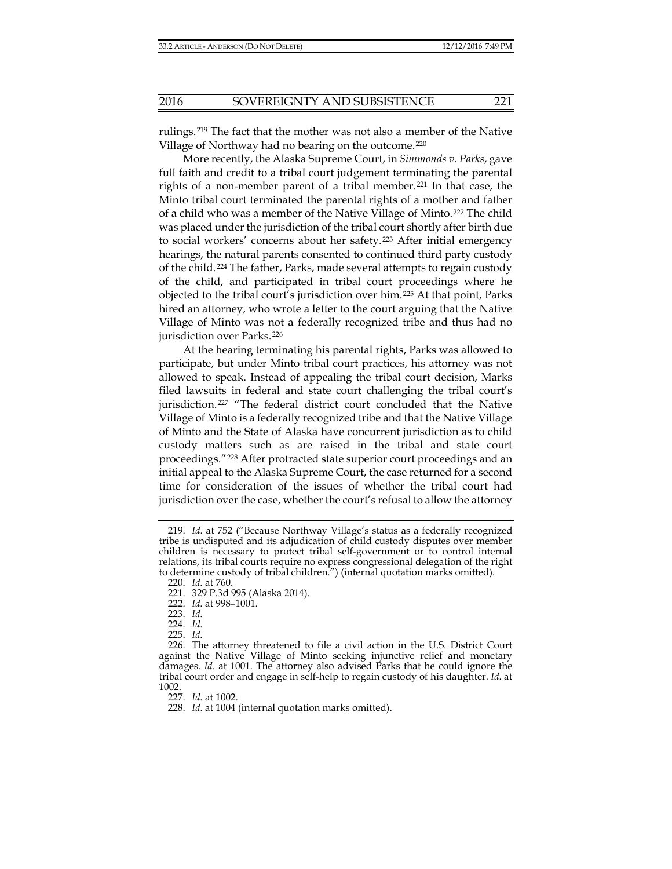rulings.[219](#page-34-5) The fact that the mother was not also a member of the Native Village of Northway had no bearing on the outcome.[220](#page-34-6)

More recently, the Alaska Supreme Court, in *Simmonds v. Parks*, gave full faith and credit to a tribal court judgement terminating the parental rights of a non-member parent of a tribal member.[221](#page-34-7) In that case, the Minto tribal court terminated the parental rights of a mother and father of a child who was a member of the Native Village of Minto.[222](#page-34-8) The child was placed under the jurisdiction of the tribal court shortly after birth due to social workers' concerns about her safety.[223](#page-35-0) After initial emergency hearings, the natural parents consented to continued third party custody of the child.[224](#page-35-1) The father, Parks, made several attempts to regain custody of the child, and participated in tribal court proceedings where he objected to the tribal court's jurisdiction over him.[225](#page-35-2) At that point, Parks hired an attorney, who wrote a letter to the court arguing that the Native Village of Minto was not a federally recognized tribe and thus had no jurisdiction over Parks.[226](#page-35-3)

At the hearing terminating his parental rights, Parks was allowed to participate, but under Minto tribal court practices, his attorney was not allowed to speak. Instead of appealing the tribal court decision, Marks filed lawsuits in federal and state court challenging the tribal court's jurisdiction.[227](#page-35-4) "The federal district court concluded that the Native Village of Minto is a federally recognized tribe and that the Native Village of Minto and the State of Alaska have concurrent jurisdiction as to child custody matters such as are raised in the tribal and state court proceedings."[228](#page-35-5) After protracted state superior court proceedings and an initial appeal to the Alaska Supreme Court, the case returned for a second time for consideration of the issues of whether the tribal court had jurisdiction over the case, whether the court's refusal to allow the attorney

<span id="page-34-2"></span><span id="page-34-1"></span><span id="page-34-0"></span><sup>219.</sup> *Id*. at 752 ("Because Northway Village's status as a federally recognized tribe is undisputed and its adjudication of child custody disputes over member children is necessary to protect tribal self-government or to control internal relations, its tribal courts require no express congressional delegation of the right to determine custody of tribal children.") (internal quotation marks omitted).

<sup>220.</sup> *Id.* at 760.

<sup>221.</sup> 329 P.3d 995 (Alaska 2014).

<sup>222.</sup> *Id.* at 998–1001.

<sup>223.</sup> *Id.*

<sup>224.</sup> *Id.*

<sup>225.</sup> *Id.*

<span id="page-34-6"></span><span id="page-34-5"></span><span id="page-34-4"></span><span id="page-34-3"></span><sup>226.</sup> The attorney threatened to file a civil action in the U.S. District Court against the Native Village of Minto seeking injunctive relief and monetary damages. *Id*. at 1001. The attorney also advised Parks that he could ignore the tribal court order and engage in self-help to regain custody of his daughter. *Id.* at 1002.

<span id="page-34-8"></span><span id="page-34-7"></span><sup>227.</sup> *Id.* at 1002.

<sup>228.</sup> *Id*. at 1004 (internal quotation marks omitted).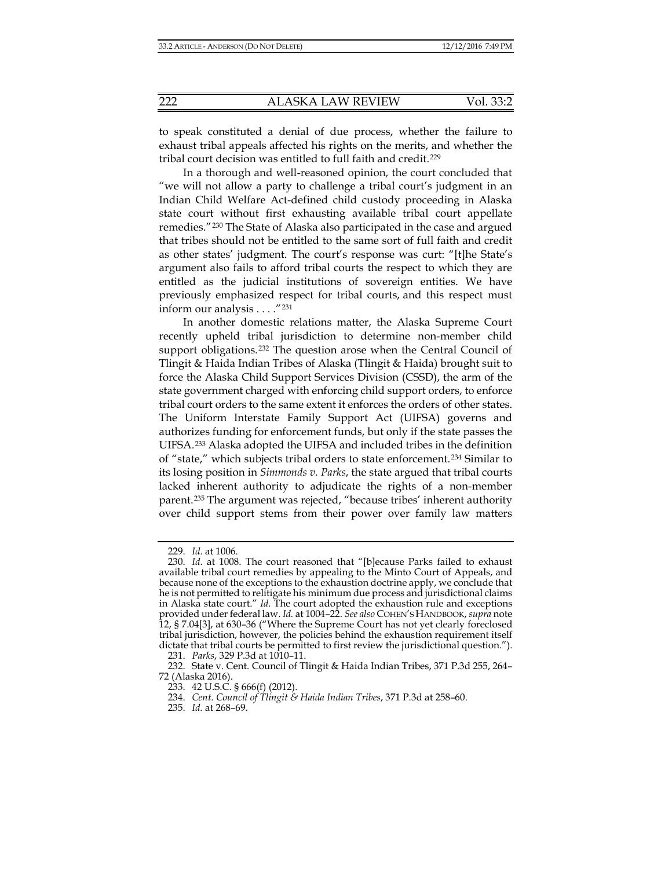to speak constituted a denial of due process, whether the failure to exhaust tribal appeals affected his rights on the merits, and whether the tribal court decision was entitled to full faith and credit.[229](#page-35-6)

In a thorough and well-reasoned opinion, the court concluded that "we will not allow a party to challenge a tribal court's judgment in an Indian Child Welfare Act-defined child custody proceeding in Alaska state court without first exhausting available tribal court appellate remedies."[230](#page-35-7) The State of Alaska also participated in the case and argued that tribes should not be entitled to the same sort of full faith and credit as other states' judgment. The court's response was curt: "[t]he State's argument also fails to afford tribal courts the respect to which they are entitled as the judicial institutions of sovereign entities. We have previously emphasized respect for tribal courts, and this respect must inform our analysis . . . ."[231](#page-36-0)

In another domestic relations matter, the Alaska Supreme Court recently upheld tribal jurisdiction to determine non-member child support obligations.[232](#page-36-1) The question arose when the Central Council of Tlingit & Haida Indian Tribes of Alaska (Tlingit & Haida) brought suit to force the Alaska Child Support Services Division (CSSD), the arm of the state government charged with enforcing child support orders, to enforce tribal court orders to the same extent it enforces the orders of other states. The Uniform Interstate Family Support Act (UIFSA) governs and authorizes funding for enforcement funds, but only if the state passes the UIFSA.[233](#page-36-2) Alaska adopted the UIFSA and included tribes in the definition of "state," which subjects tribal orders to state enforcement.[234](#page-36-3) Similar to its losing position in *Simmonds v. Parks*, the state argued that tribal courts lacked inherent authority to adjudicate the rights of a non-member parent.[235](#page-36-4) The argument was rejected, "because tribes' inherent authority over child support stems from their power over family law matters

<sup>229.</sup> *Id*. at 1006.

<span id="page-35-3"></span><span id="page-35-2"></span><span id="page-35-1"></span><span id="page-35-0"></span><sup>230.</sup> *Id*. at 1008. The court reasoned that "[b]ecause Parks failed to exhaust available tribal court remedies by appealing to the Minto Court of Appeals, and because none of the exceptions to the exhaustion doctrine apply, we conclude that he is not permitted to relitigate his minimum due process and jurisdictional claims in Alaska state court." *Id.* The court adopted the exhaustion rule and exceptions provided under federal law. *Id.* at 1004–22. *See also* COHEN'S HANDBOOK, *supra* note [12,](#page-3-0) § 7.04[3], at 630–36 ("Where the Supreme Court has not yet clearly foreclosed tribal jurisdiction, however, the policies behind the exhaustion requirement itself dictate that tribal courts be permitted to first review the jurisdictional question.").

<sup>231.</sup> *Parks*, 329 P.3d at 1010–11.

<span id="page-35-7"></span><span id="page-35-6"></span><span id="page-35-5"></span><span id="page-35-4"></span><sup>232.</sup> State v. Cent. Council of Tlingit & Haida Indian Tribes, 371 P.3d 255, 264– 72 (Alaska 2016).

<sup>233.</sup> 42 U.S.C. § 666(f) (2012).

<sup>234.</sup> *Cent. Council of Tlingit & Haida Indian Tribes*, 371 P.3d at 258–60.

<sup>235.</sup> *Id.* at 268–69.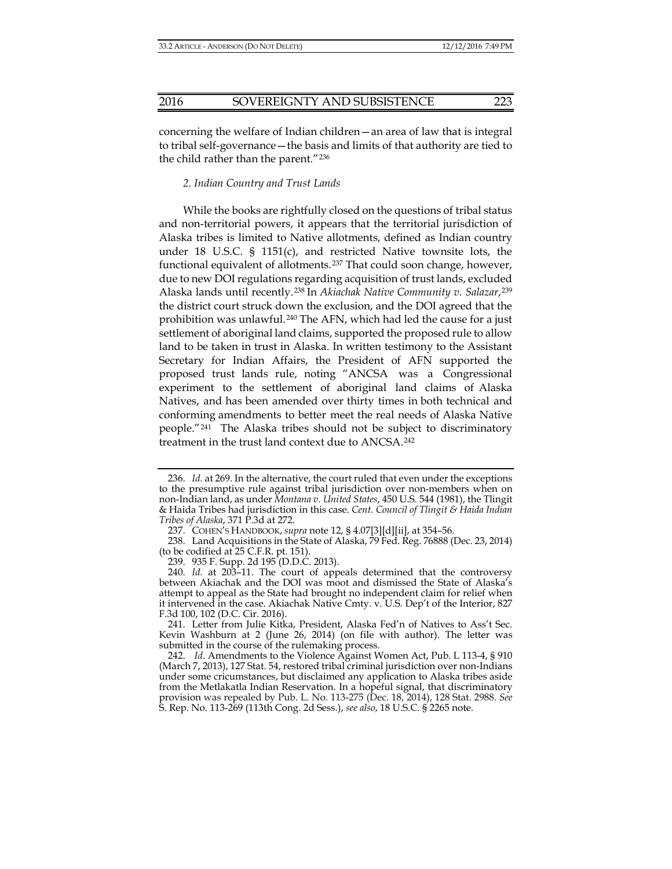concerning the welfare of Indian children—an area of law that is integral to tribal self-governance—the basis and limits of that authority are tied to the child rather than the parent."[236](#page-36-5)

#### *2. Indian Country and Trust Lands*

While the books are rightfully closed on the questions of tribal status and non-territorial powers, it appears that the territorial jurisdiction of Alaska tribes is limited to Native allotments, defined as Indian country under 18 U.S.C. § 1151 $(c)$ , and restricted Native townsite lots, the functional equivalent of allotments.[237](#page-37-0) That could soon change, however, due to new DOI regulations regarding acquisition of trust lands, excluded Alaska lands until recently.[238](#page-37-1) In *Akiachak Native Community v. Salazar*,[239](#page-37-2) the district court struck down the exclusion, and the DOI agreed that the prohibition was unlawful.<sup>[240](#page-37-3)</sup> The AFN, which had led the cause for a just settlement of aboriginal land claims, supported the proposed rule to allow land to be taken in trust in Alaska. In written testimony to the Assistant Secretary for Indian Affairs, the President of AFN supported the proposed trust lands rule, noting "ANCSA was a Congressional experiment to the settlement of aboriginal land claims of Alaska Natives, and has been amended over thirty times in both technical and conforming amendments to better meet the real needs of Alaska Native people."[241](#page-37-4) The Alaska tribes should not be subject to discriminatory treatment in the trust land context due to ANCSA.[242](#page-37-5)

<sup>236.</sup> *Id.* at 269. In the alternative, the court ruled that even under the exceptions to the presumptive rule against tribal jurisdiction over non-members when on non-Indian land, as under *Montana v. United States*, 450 U.S. 544 (1981), the Tlingit & Haida Tribes had jurisdiction in this case. *Cent. Council of Tlingit & Haida Indian Tribes of Alaska*, 371 P.3d at 272.

<sup>237.</sup> COHEN'S HANDBOOK, *supra* not[e 12,](#page-3-0) § 4.07[3][d][ii], at 354–56.

<sup>238.</sup> Land Acquisitions in the State of Alaska, 79 Fed. Reg. 76888 (Dec. 23, 2014) (to be codified at 25 C.F.R. pt. 151).

<sup>239.</sup> 935 F. Supp. 2d 195 (D.D.C. 2013).

<sup>240.</sup> *Id.* at 203–11. The court of appeals determined that the controversy between Akiachak and the DOI was moot and dismissed the State of Alaska's attempt to appeal as the State had brought no independent claim for relief when it intervened in the case. Akiachak Native Cmty. v. U.S. Dep't of the Interior, 827 F.3d 100, 102 (D.C. Cir. 2016).

<span id="page-36-2"></span><span id="page-36-1"></span><span id="page-36-0"></span><sup>241.</sup> Letter from Julie Kitka, President, Alaska Fed'n of Natives to Ass't Sec. Kevin Washburn at 2 (June 26, 2014) (on file with author). The letter was submitted in the course of the rulemaking process.

<span id="page-36-5"></span><span id="page-36-4"></span><span id="page-36-3"></span><sup>242.</sup> *Id*. Amendments to the Violence Against Women Act, Pub. L 113-4, § 910 (March 7, 2013), 127 Stat. 54, restored tribal criminal jurisdiction over non-Indians under some cricumstances, but disclaimed any application to Alaska tribes aside from the Metlakatla Indian Reservation. In a hopeful signal, that discriminatory provision was repealed by Pub. L. No. 113-275 (Dec. 18, 2014), 128 Stat. 2988. *See* S. Rep. No. 113-269 (113th Cong. 2d Sess.), *see also*, 18 U.S.C. § 2265 note.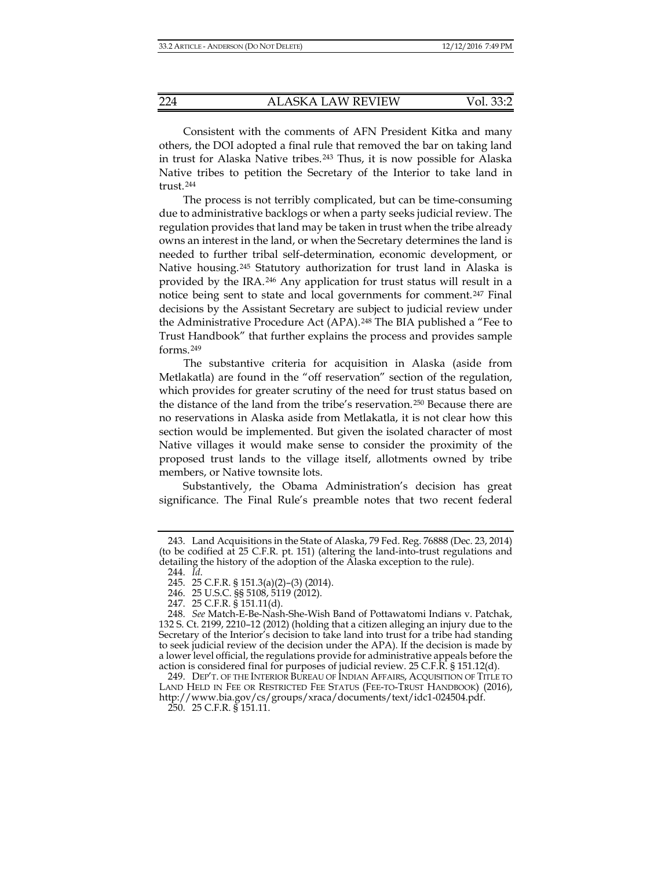Consistent with the comments of AFN President Kitka and many others, the DOI adopted a final rule that removed the bar on taking land in trust for Alaska Native tribes.<sup>[243](#page-37-6)</sup> Thus, it is now possible for Alaska Native tribes to petition the Secretary of the Interior to take land in trust.[244](#page-37-7)

The process is not terribly complicated, but can be time-consuming due to administrative backlogs or when a party seeks judicial review. The regulation provides that land may be taken in trust when the tribe already owns an interest in the land, or when the Secretary determines the land is needed to further tribal self-determination, economic development, or Native housing.[245](#page-38-0) Statutory authorization for trust land in Alaska is provided by the IRA.[246](#page-38-1) Any application for trust status will result in a notice being sent to state and local governments for comment.[247](#page-38-2) Final decisions by the Assistant Secretary are subject to judicial review under the Administrative Procedure Act (APA).<sup>[248](#page-38-3)</sup> The BIA published a "Fee to Trust Handbook" that further explains the process and provides sample forms.[249](#page-38-4)

The substantive criteria for acquisition in Alaska (aside from Metlakatla) are found in the "off reservation" section of the regulation, which provides for greater scrutiny of the need for trust status based on the distance of the land from the tribe's reservation.[250](#page-38-5) Because there are no reservations in Alaska aside from Metlakatla, it is not clear how this section would be implemented. But given the isolated character of most Native villages it would make sense to consider the proximity of the proposed trust lands to the village itself, allotments owned by tribe members, or Native townsite lots.

<span id="page-37-1"></span><span id="page-37-0"></span>Substantively, the Obama Administration's decision has great significance. The Final Rule's preamble notes that two recent federal

<span id="page-37-3"></span><span id="page-37-2"></span><sup>243.</sup> Land Acquisitions in the State of Alaska, 79 Fed. Reg. 76888 (Dec. 23, 2014) (to be codified at 25 C.F.R. pt. 151) (altering the land-into-trust regulations and detailing the history of the adoption of the Alaska exception to the rule).

<sup>244.</sup> *Id*.

<sup>245.</sup> 25 C.F.R. § 151.3(a)(2)–(3) (2014).

<sup>246.</sup> 25 U.S.C. §§ 5108, 5119 (2012).

<sup>247.</sup> 25 C.F.R. § 151.11(d).

<span id="page-37-5"></span><span id="page-37-4"></span><sup>248.</sup> *See* Match-E-Be-Nash-She-Wish Band of Pottawatomi Indians v. Patchak, 132 S. Ct. 2199, 2210–12 (2012) (holding that a citizen alleging an injury due to the Secretary of the Interior's decision to take land into trust for a tribe had standing to seek judicial review of the decision under the APA). If the decision is made by a lower level official, the regulations provide for administrative appeals before the action is considered final for purposes of judicial review. 25 C.F.R. § 151.12(d).

<span id="page-37-7"></span><span id="page-37-6"></span><sup>249.</sup> DEP'T. OF THE INTERIOR BUREAU OF INDIAN AFFAIRS, ACQUISITION OF TITLE TO LAND HELD IN FEE OR RESTRICTED FEE STATUS (FEE-TO-TRUST HANDBOOK) (2016), http://www.bia.gov/cs/groups/xraca/documents/text/idc1-024504.pdf.

<sup>250.</sup> 25 C.F.R. § 151.11.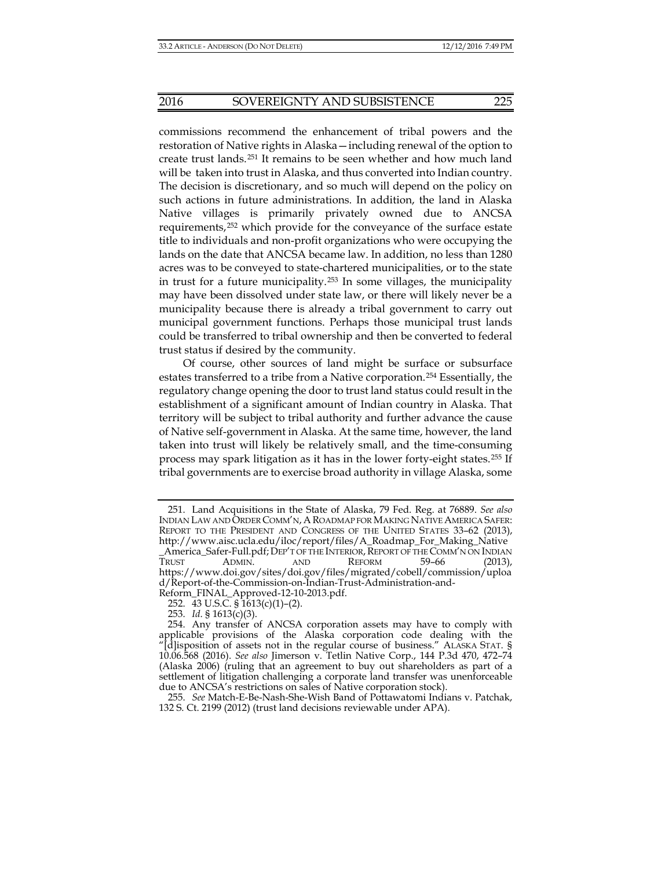commissions recommend the enhancement of tribal powers and the restoration of Native rights in Alaska—including renewal of the option to create trust lands.[251](#page-38-6) It remains to be seen whether and how much land will be taken into trust in Alaska, and thus converted into Indian country. The decision is discretionary, and so much will depend on the policy on such actions in future administrations. In addition, the land in Alaska Native villages is primarily privately owned due to ANCSA requirements,[252](#page-39-0) which provide for the conveyance of the surface estate title to individuals and non-profit organizations who were occupying the lands on the date that ANCSA became law. In addition, no less than 1280 acres was to be conveyed to state-chartered municipalities, or to the state in trust for a future municipality.[253](#page-39-1) In some villages, the municipality may have been dissolved under state law, or there will likely never be a municipality because there is already a tribal government to carry out municipal government functions. Perhaps those municipal trust lands could be transferred to tribal ownership and then be converted to federal trust status if desired by the community.

Of course, other sources of land might be surface or subsurface estates transferred to a tribe from a Native corporation.[254](#page-39-2) Essentially, the regulatory change opening the door to trust land status could result in the establishment of a significant amount of Indian country in Alaska. That territory will be subject to tribal authority and further advance the cause of Native self-government in Alaska. At the same time, however, the land taken into trust will likely be relatively small, and the time-consuming process may spark litigation as it has in the lower forty-eight states.[255](#page-39-3) If tribal governments are to exercise broad authority in village Alaska, some

<span id="page-38-3"></span><span id="page-38-2"></span><span id="page-38-1"></span><span id="page-38-0"></span><sup>251.</sup> Land Acquisitions in the State of Alaska, 79 Fed. Reg. at 76889. *See also* INDIAN LAW AND ORDER COMM'N, AROADMAP FOR MAKING NATIVE AMERICA SAFER: REPORT TO THE PRESIDENT AND CONGRESS OF THE UNITED STATES 33–62 (2013), http://www.aisc.ucla.edu/iloc/report/files/A\_Roadmap\_For\_Making\_Native \_America\_Safer-Full.pdf;DEP'T OF THE INTERIOR,REPORT OF THE COMM'N ON INDIAN TRUST ADMIN. AND REFORM 59–66 (2013), https://www.doi.gov/sites/doi.gov/files/migrated/cobell/commission/uploa d/Report-of-the-Commission-on-Indian-Trust-Administration-and-Reform\_FINAL\_Approved-12-10-2013.pdf.

<sup>252.</sup> 43 U.S.C. § 1613(c)(1)–(2).

<sup>253.</sup> *Id*. § 1613(c)(3).

<span id="page-38-6"></span><span id="page-38-5"></span><span id="page-38-4"></span><sup>254.</sup> Any transfer of ANCSA corporation assets may have to comply with applicable provisions of the Alaska corporation code dealing with the [d]isposition of assets not in the regular course of business." ALASKA STAT. § 10.06.568 (2016). *See also* Jimerson v. Tetlin Native Corp., 144 P.3d 470, 472–74 (Alaska 2006) (ruling that an agreement to buy out shareholders as part of a settlement of litigation challenging a corporate land transfer was unenforceable due to ANCSA's restrictions on sales of Native corporation stock).

<sup>255.</sup> *See* Match-E-Be-Nash-She-Wish Band of Pottawatomi Indians v. Patchak, 132 S. Ct. 2199 (2012) (trust land decisions reviewable under APA).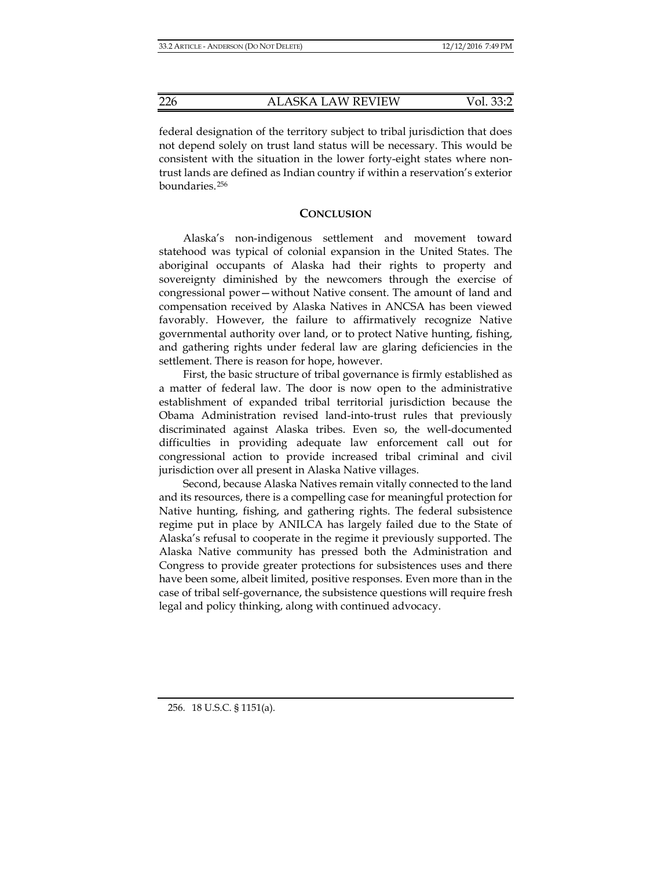federal designation of the territory subject to tribal jurisdiction that does not depend solely on trust land status will be necessary. This would be consistent with the situation in the lower forty-eight states where nontrust lands are defined as Indian country if within a reservation's exterior boundaries.[256](#page-39-4)

#### **CONCLUSION**

Alaska's non-indigenous settlement and movement toward statehood was typical of colonial expansion in the United States. The aboriginal occupants of Alaska had their rights to property and sovereignty diminished by the newcomers through the exercise of congressional power—without Native consent. The amount of land and compensation received by Alaska Natives in ANCSA has been viewed favorably. However, the failure to affirmatively recognize Native governmental authority over land, or to protect Native hunting, fishing, and gathering rights under federal law are glaring deficiencies in the settlement. There is reason for hope, however.

First, the basic structure of tribal governance is firmly established as a matter of federal law. The door is now open to the administrative establishment of expanded tribal territorial jurisdiction because the Obama Administration revised land-into-trust rules that previously discriminated against Alaska tribes. Even so, the well-documented difficulties in providing adequate law enforcement call out for congressional action to provide increased tribal criminal and civil jurisdiction over all present in Alaska Native villages.

<span id="page-39-4"></span><span id="page-39-3"></span><span id="page-39-2"></span><span id="page-39-1"></span><span id="page-39-0"></span>Second, because Alaska Natives remain vitally connected to the land and its resources, there is a compelling case for meaningful protection for Native hunting, fishing, and gathering rights. The federal subsistence regime put in place by ANILCA has largely failed due to the State of Alaska's refusal to cooperate in the regime it previously supported. The Alaska Native community has pressed both the Administration and Congress to provide greater protections for subsistences uses and there have been some, albeit limited, positive responses. Even more than in the case of tribal self-governance, the subsistence questions will require fresh legal and policy thinking, along with continued advocacy.